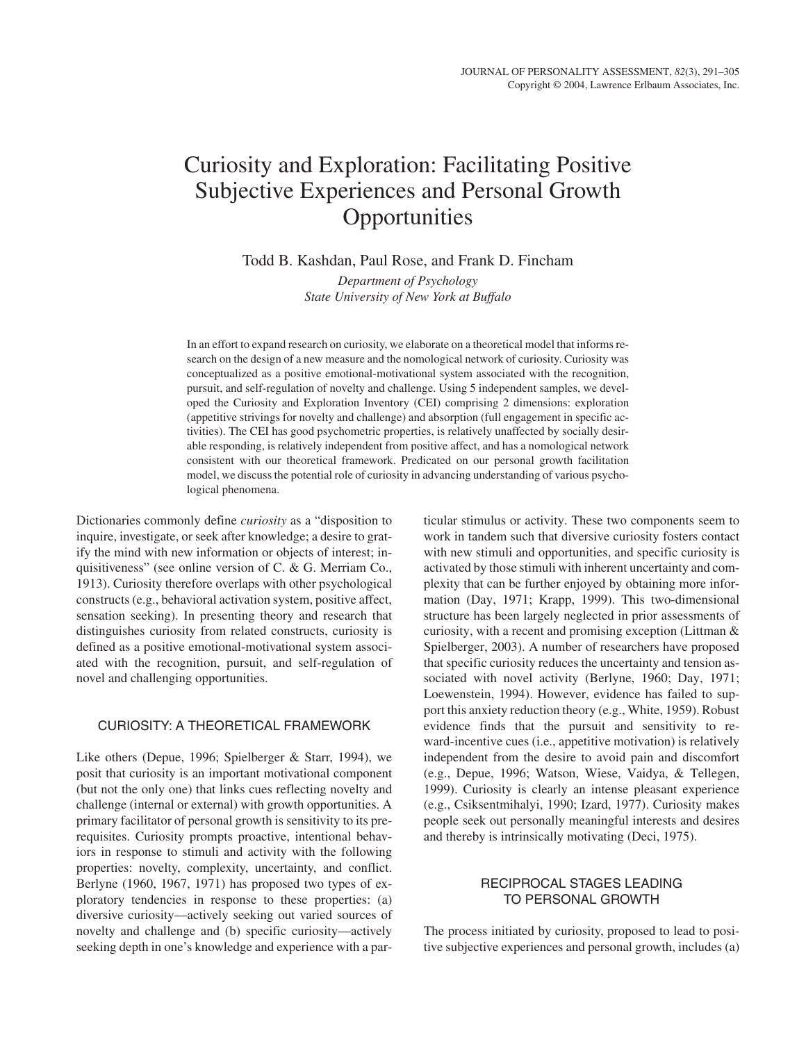# Curiosity and Exploration: Facilitating Positive Subjective Experiences and Personal Growth Opportunities

Todd B. Kashdan, Paul Rose, and Frank D. Fincham

*Department of Psychology State University of New York at Buffalo*

In an effort to expand research on curiosity, we elaborate on a theoretical model that informs research on the design of a new measure and the nomological network of curiosity. Curiosity was conceptualized as a positive emotional-motivational system associated with the recognition, pursuit, and self-regulation of novelty and challenge. Using 5 independent samples, we developed the Curiosity and Exploration Inventory (CEI) comprising 2 dimensions: exploration (appetitive strivings for novelty and challenge) and absorption (full engagement in specific activities). The CEI has good psychometric properties, is relatively unaffected by socially desirable responding, is relatively independent from positive affect, and has a nomological network consistent with our theoretical framework. Predicated on our personal growth facilitation model, we discuss the potential role of curiosity in advancing understanding of various psychological phenomena.

Dictionaries commonly define *curiosity* as a "disposition to inquire, investigate, or seek after knowledge; a desire to gratify the mind with new information or objects of interest; inquisitiveness" (see online version of C. & G. Merriam Co., 1913). Curiosity therefore overlaps with other psychological constructs (e.g., behavioral activation system, positive affect, sensation seeking). In presenting theory and research that distinguishes curiosity from related constructs, curiosity is defined as a positive emotional-motivational system associated with the recognition, pursuit, and self-regulation of novel and challenging opportunities.

# CURIOSITY: A THEORETICAL FRAMEWORK

Like others (Depue, 1996; Spielberger & Starr, 1994), we posit that curiosity is an important motivational component (but not the only one) that links cues reflecting novelty and challenge (internal or external) with growth opportunities. A primary facilitator of personal growth is sensitivity to its prerequisites. Curiosity prompts proactive, intentional behaviors in response to stimuli and activity with the following properties: novelty, complexity, uncertainty, and conflict. Berlyne (1960, 1967, 1971) has proposed two types of exploratory tendencies in response to these properties: (a) diversive curiosity—actively seeking out varied sources of novelty and challenge and (b) specific curiosity—actively seeking depth in one's knowledge and experience with a par-

ticular stimulus or activity. These two components seem to work in tandem such that diversive curiosity fosters contact with new stimuli and opportunities, and specific curiosity is activated by those stimuli with inherent uncertainty and complexity that can be further enjoyed by obtaining more information (Day, 1971; Krapp, 1999). This two-dimensional structure has been largely neglected in prior assessments of curiosity, with a recent and promising exception (Littman & Spielberger, 2003). A number of researchers have proposed that specific curiosity reduces the uncertainty and tension associated with novel activity (Berlyne, 1960; Day, 1971; Loewenstein, 1994). However, evidence has failed to support this anxiety reduction theory (e.g., White, 1959). Robust evidence finds that the pursuit and sensitivity to reward-incentive cues (i.e., appetitive motivation) is relatively independent from the desire to avoid pain and discomfort (e.g., Depue, 1996; Watson, Wiese, Vaidya, & Tellegen, 1999). Curiosity is clearly an intense pleasant experience (e.g., Csiksentmihalyi, 1990; Izard, 1977). Curiosity makes people seek out personally meaningful interests and desires and thereby is intrinsically motivating (Deci, 1975).

# RECIPROCAL STAGES LEADING TO PERSONAL GROWTH

The process initiated by curiosity, proposed to lead to positive subjective experiences and personal growth, includes (a)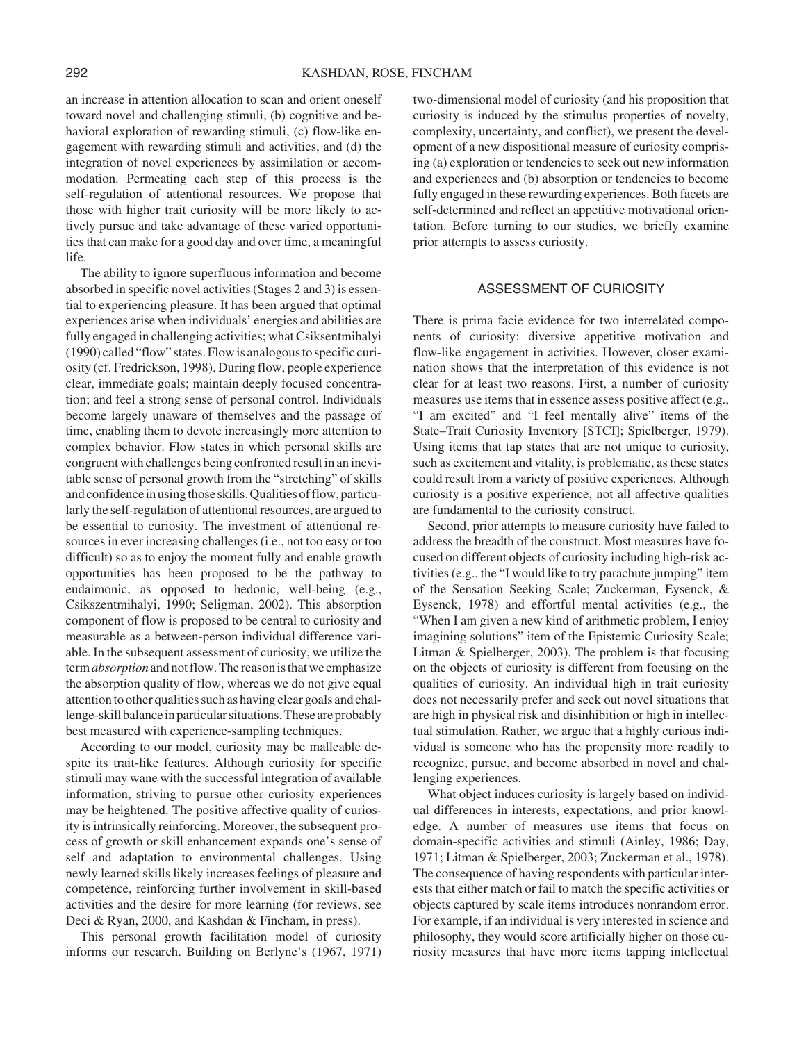an increase in attention allocation to scan and orient oneself toward novel and challenging stimuli, (b) cognitive and behavioral exploration of rewarding stimuli, (c) flow-like engagement with rewarding stimuli and activities, and (d) the integration of novel experiences by assimilation or accommodation. Permeating each step of this process is the self-regulation of attentional resources. We propose that those with higher trait curiosity will be more likely to actively pursue and take advantage of these varied opportunities that can make for a good day and over time, a meaningful life.

The ability to ignore superfluous information and become absorbed in specific novel activities (Stages 2 and 3) is essential to experiencing pleasure. It has been argued that optimal experiences arise when individuals' energies and abilities are fully engaged in challenging activities; what Csiksentmihalyi (1990) called "flow" states. Flow is analogous to specific curiosity (cf. Fredrickson, 1998). During flow, people experience clear, immediate goals; maintain deeply focused concentration; and feel a strong sense of personal control. Individuals become largely unaware of themselves and the passage of time, enabling them to devote increasingly more attention to complex behavior. Flow states in which personal skills are congruent with challenges being confronted result in an inevitable sense of personal growth from the "stretching" of skills and confidence in using those skills. Qualities of flow, particularly the self-regulation of attentional resources, are argued to be essential to curiosity. The investment of attentional resources in ever increasing challenges (i.e., not too easy or too difficult) so as to enjoy the moment fully and enable growth opportunities has been proposed to be the pathway to eudaimonic, as opposed to hedonic, well-being (e.g., Csikszentmihalyi, 1990; Seligman, 2002). This absorption component of flow is proposed to be central to curiosity and measurable as a between-person individual difference variable. In the subsequent assessment of curiosity, we utilize the term*absorption* and not flow. The reason is that we emphasize the absorption quality of flow, whereas we do not give equal attention to other qualities such as having clear goals and challenge-skill balance in particular situations. These are probably best measured with experience-sampling techniques.

According to our model, curiosity may be malleable despite its trait-like features. Although curiosity for specific stimuli may wane with the successful integration of available information, striving to pursue other curiosity experiences may be heightened. The positive affective quality of curiosity is intrinsically reinforcing. Moreover, the subsequent process of growth or skill enhancement expands one's sense of self and adaptation to environmental challenges. Using newly learned skills likely increases feelings of pleasure and competence, reinforcing further involvement in skill-based activities and the desire for more learning (for reviews, see Deci & Ryan, 2000, and Kashdan & Fincham, in press).

This personal growth facilitation model of curiosity informs our research. Building on Berlyne's (1967, 1971)

two-dimensional model of curiosity (and his proposition that curiosity is induced by the stimulus properties of novelty, complexity, uncertainty, and conflict), we present the development of a new dispositional measure of curiosity comprising (a) exploration or tendencies to seek out new information and experiences and (b) absorption or tendencies to become fully engaged in these rewarding experiences. Both facets are self-determined and reflect an appetitive motivational orientation. Before turning to our studies, we briefly examine prior attempts to assess curiosity.

# ASSESSMENT OF CURIOSITY

There is prima facie evidence for two interrelated components of curiosity: diversive appetitive motivation and flow-like engagement in activities. However, closer examination shows that the interpretation of this evidence is not clear for at least two reasons. First, a number of curiosity measures use items that in essence assess positive affect (e.g., "I am excited" and "I feel mentally alive" items of the State–Trait Curiosity Inventory [STCI]; Spielberger, 1979). Using items that tap states that are not unique to curiosity, such as excitement and vitality, is problematic, as these states could result from a variety of positive experiences. Although curiosity is a positive experience, not all affective qualities are fundamental to the curiosity construct.

Second, prior attempts to measure curiosity have failed to address the breadth of the construct. Most measures have focused on different objects of curiosity including high-risk activities (e.g., the "I would like to try parachute jumping" item of the Sensation Seeking Scale; Zuckerman, Eysenck, & Eysenck, 1978) and effortful mental activities (e.g., the "When I am given a new kind of arithmetic problem, I enjoy imagining solutions" item of the Epistemic Curiosity Scale; Litman & Spielberger, 2003). The problem is that focusing on the objects of curiosity is different from focusing on the qualities of curiosity. An individual high in trait curiosity does not necessarily prefer and seek out novel situations that are high in physical risk and disinhibition or high in intellectual stimulation. Rather, we argue that a highly curious individual is someone who has the propensity more readily to recognize, pursue, and become absorbed in novel and challenging experiences.

What object induces curiosity is largely based on individual differences in interests, expectations, and prior knowledge. A number of measures use items that focus on domain-specific activities and stimuli (Ainley, 1986; Day, 1971; Litman & Spielberger, 2003; Zuckerman et al., 1978). The consequence of having respondents with particular interests that either match or fail to match the specific activities or objects captured by scale items introduces nonrandom error. For example, if an individual is very interested in science and philosophy, they would score artificially higher on those curiosity measures that have more items tapping intellectual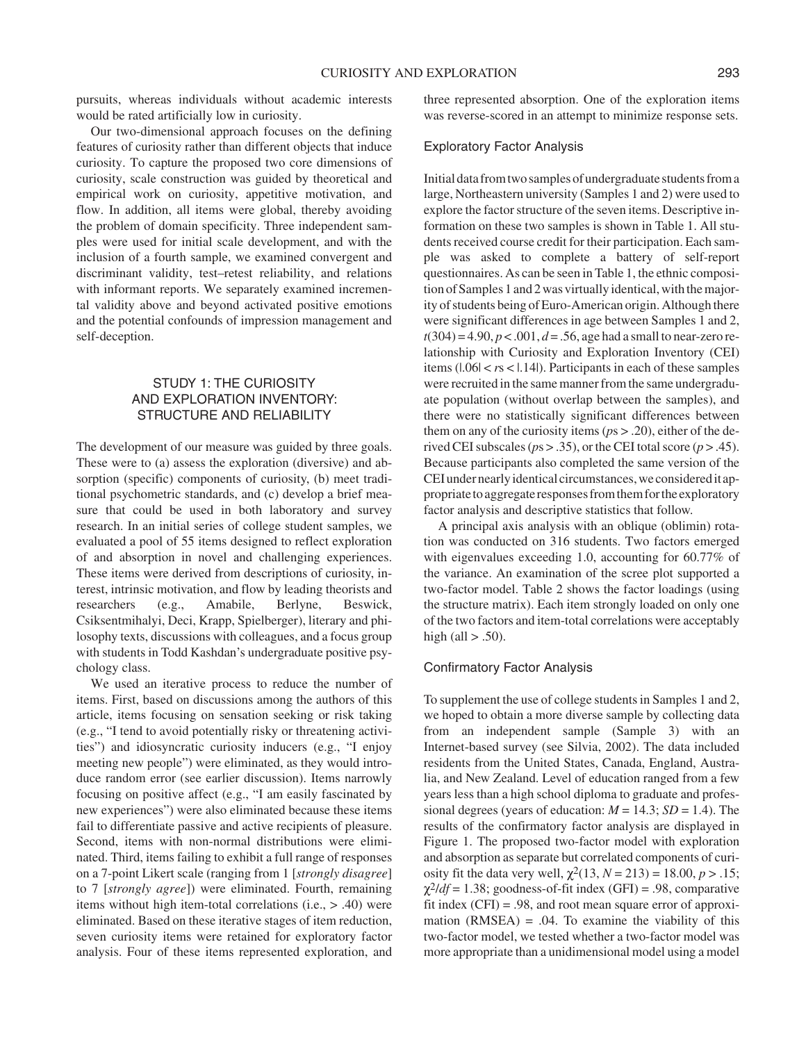pursuits, whereas individuals without academic interests would be rated artificially low in curiosity.

Our two-dimensional approach focuses on the defining features of curiosity rather than different objects that induce curiosity. To capture the proposed two core dimensions of curiosity, scale construction was guided by theoretical and empirical work on curiosity, appetitive motivation, and flow. In addition, all items were global, thereby avoiding the problem of domain specificity. Three independent samples were used for initial scale development, and with the inclusion of a fourth sample, we examined convergent and discriminant validity, test–retest reliability, and relations with informant reports. We separately examined incremental validity above and beyond activated positive emotions and the potential confounds of impression management and self-deception.

# STUDY 1: THE CURIOSITY AND EXPLORATION INVENTORY: STRUCTURE AND RELIABILITY

The development of our measure was guided by three goals. These were to (a) assess the exploration (diversive) and absorption (specific) components of curiosity, (b) meet traditional psychometric standards, and (c) develop a brief measure that could be used in both laboratory and survey research. In an initial series of college student samples, we evaluated a pool of 55 items designed to reflect exploration of and absorption in novel and challenging experiences. These items were derived from descriptions of curiosity, interest, intrinsic motivation, and flow by leading theorists and researchers (e.g., Amabile, Berlyne, Beswick, Csiksentmihalyi, Deci, Krapp, Spielberger), literary and philosophy texts, discussions with colleagues, and a focus group with students in Todd Kashdan's undergraduate positive psychology class.

We used an iterative process to reduce the number of items. First, based on discussions among the authors of this article, items focusing on sensation seeking or risk taking (e.g., "I tend to avoid potentially risky or threatening activities") and idiosyncratic curiosity inducers (e.g., "I enjoy meeting new people") were eliminated, as they would introduce random error (see earlier discussion). Items narrowly focusing on positive affect (e.g., "I am easily fascinated by new experiences") were also eliminated because these items fail to differentiate passive and active recipients of pleasure. Second, items with non-normal distributions were eliminated. Third, items failing to exhibit a full range of responses on a 7-point Likert scale (ranging from 1 [*strongly disagree*] to 7 [*strongly agree*]) were eliminated. Fourth, remaining items without high item-total correlations (i.e., > .40) were eliminated. Based on these iterative stages of item reduction, seven curiosity items were retained for exploratory factor analysis. Four of these items represented exploration, and three represented absorption. One of the exploration items was reverse-scored in an attempt to minimize response sets.

## Exploratory Factor Analysis

Initial data from two samples of undergraduate students from a large, Northeastern university (Samples 1 and 2) were used to explore the factor structure of the seven items. Descriptive information on these two samples is shown in Table 1. All students received course credit for their participation. Each sample was asked to complete a battery of self-report questionnaires. As can be seen in Table 1, the ethnic composition of Samples 1 and 2 was virtually identical, with the majority of students being of Euro-American origin. Although there were significant differences in age between Samples 1 and 2, *t*(304) = 4.90, *p* < .001, *d* = .56, age had a small to near-zero relationship with Curiosity and Exploration Inventory (CEI) items  $(1.06 < r s < 1.14)$ . Participants in each of these samples were recruited in the same manner from the same undergraduate population (without overlap between the samples), and there were no statistically significant differences between them on any of the curiosity items (*p*s > .20), either of the derived CEI subscales ( $ps > .35$ ), or the CEI total score ( $p > .45$ ). Because participants also completed the same version of the CEI under nearly identical circumstances, we considered it appropriate to aggregate responses from them for the exploratory factor analysis and descriptive statistics that follow.

A principal axis analysis with an oblique (oblimin) rotation was conducted on 316 students. Two factors emerged with eigenvalues exceeding 1.0, accounting for 60.77% of the variance. An examination of the scree plot supported a two-factor model. Table 2 shows the factor loadings (using the structure matrix). Each item strongly loaded on only one of the two factors and item-total correlations were acceptably high (all  $> .50$ ).

## Confirmatory Factor Analysis

To supplement the use of college students in Samples 1 and 2, we hoped to obtain a more diverse sample by collecting data from an independent sample (Sample 3) with an Internet-based survey (see Silvia, 2002). The data included residents from the United States, Canada, England, Australia, and New Zealand. Level of education ranged from a few years less than a high school diploma to graduate and professional degrees (years of education:  $M = 14.3$ ;  $SD = 1.4$ ). The results of the confirmatory factor analysis are displayed in Figure 1. The proposed two-factor model with exploration and absorption as separate but correlated components of curiosity fit the data very well,  $\chi^2(13, N = 213) = 18.00, p > .15$ ;  $\chi^2/df = 1.38$ ; goodness-of-fit index (GFI) = .98, comparative fit index  $(CFI) = .98$ , and root mean square error of approximation  $(RMSEA) = .04$ . To examine the viability of this two-factor model, we tested whether a two-factor model was more appropriate than a unidimensional model using a model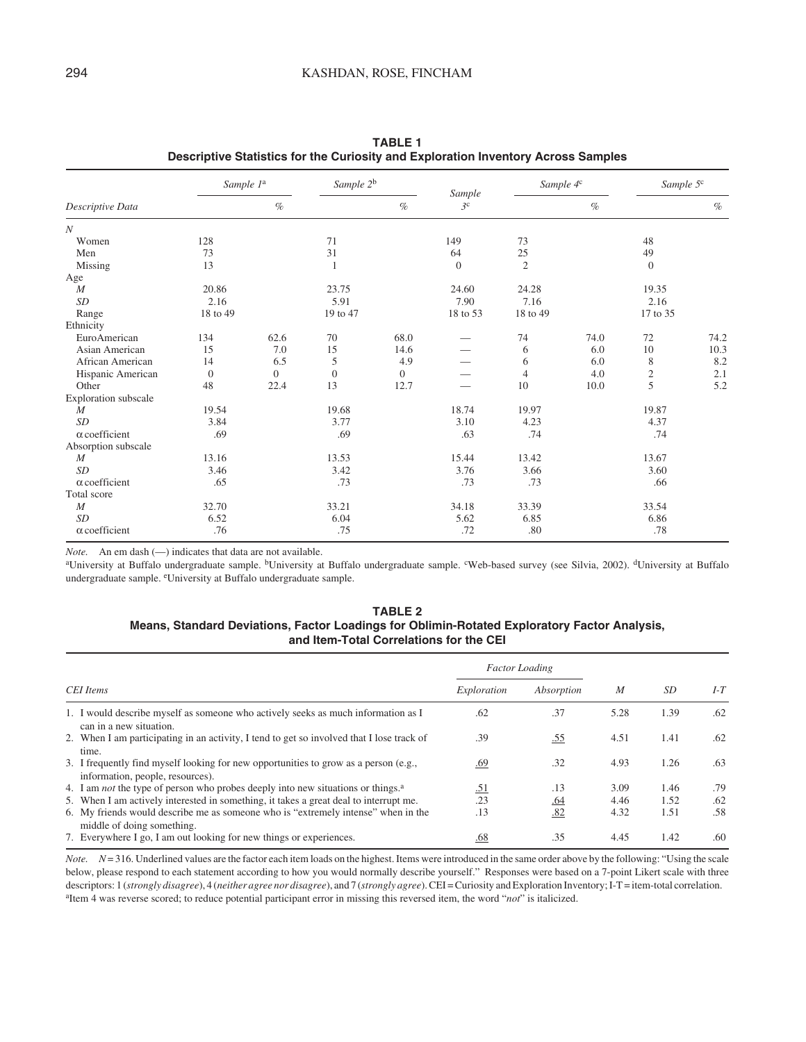|                      | Sample 1 <sup>a</sup> |          | Sample 2 <sup>b</sup> |          | Sample         | Sample 4 <sup>c</sup> |      | Sample 5 <sup>c</sup> |      |
|----------------------|-----------------------|----------|-----------------------|----------|----------------|-----------------------|------|-----------------------|------|
| Descriptive Data     |                       | $\%$     |                       | $\%$     | 3 <sup>c</sup> |                       | $\%$ |                       | $\%$ |
| $\boldsymbol{N}$     |                       |          |                       |          |                |                       |      |                       |      |
| Women                | 128                   |          | 71                    |          | 149            | 73                    |      | 48                    |      |
| Men                  | 73                    |          | 31                    |          | 64             | 25                    |      | 49                    |      |
| Missing              | 13                    |          | 1                     |          | $\theta$       | $\overline{2}$        |      | $\theta$              |      |
| Age                  |                       |          |                       |          |                |                       |      |                       |      |
| $\boldsymbol{M}$     | 20.86                 |          | 23.75                 |          | 24.60          | 24.28                 |      | 19.35                 |      |
| SD                   | 2.16                  |          | 5.91                  |          | 7.90           | 7.16                  |      | 2.16                  |      |
| Range                | 18 to 49              |          | 19 to 47              |          | 18 to 53       | 18 to 49              |      | 17 to 35              |      |
| Ethnicity            |                       |          |                       |          |                |                       |      |                       |      |
| EuroAmerican         | 134                   | 62.6     | 70                    | 68.0     |                | 74                    | 74.0 | 72                    | 74.2 |
| Asian American       | 15                    | 7.0      | 15                    | 14.6     |                | 6                     | 6.0  | 10                    | 10.3 |
| African American     | 14                    | 6.5      | 5                     | 4.9      |                | 6                     | 6.0  | 8                     | 8.2  |
| Hispanic American    | $\mathbf{0}$          | $\theta$ | $\mathbf{0}$          | $\Omega$ |                | $\overline{4}$        | 4.0  | $\overline{c}$        | 2.1  |
| Other                | 48                    | 22.4     | 13                    | 12.7     |                | 10                    | 10.0 | 5                     | 5.2  |
| Exploration subscale |                       |          |                       |          |                |                       |      |                       |      |
| $\boldsymbol{M}$     | 19.54                 |          | 19.68                 |          | 18.74          | 19.97                 |      | 19.87                 |      |
| SD                   | 3.84                  |          | 3.77                  |          | 3.10           | 4.23                  |      | 4.37                  |      |
| $\alpha$ coefficient | .69                   |          | .69                   |          | .63            | .74                   |      | .74                   |      |
| Absorption subscale  |                       |          |                       |          |                |                       |      |                       |      |
| $\boldsymbol{M}$     | 13.16                 |          | 13.53                 |          | 15.44          | 13.42                 |      | 13.67                 |      |
| SD                   | 3.46                  |          | 3.42                  |          | 3.76           | 3.66                  |      | 3.60                  |      |
| $\alpha$ coefficient | .65                   |          | .73                   |          | .73            | .73                   |      | .66                   |      |
| Total score          |                       |          |                       |          |                |                       |      |                       |      |
| $\boldsymbol{M}$     | 32.70                 |          | 33.21                 |          | 34.18          | 33.39                 |      | 33.54                 |      |
| SD                   | 6.52                  |          | 6.04                  |          | 5.62           | 6.85                  |      | 6.86                  |      |
| $\alpha$ coefficient | .76                   |          | .75                   |          | .72            | .80                   |      | .78                   |      |

**TABLE 1 Descriptive Statistics for the Curiosity and Exploration Inventory Across Samples**

*Note.* An em dash (—) indicates that data are not available.

aUniversity at Buffalo undergraduate sample. <sup>b</sup>University at Buffalo undergraduate sample. <sup>c</sup>Web-based survey (see Silvia, 2002). <sup>d</sup>University at Buffalo undergraduate sample. eUniversity at Buffalo undergraduate sample.

# **TABLE 2 Means, Standard Deviations, Factor Loadings for Oblimin-Rotated Exploratory Factor Analysis, and Item-Total Correlations for the CEI**

|                                                                                                                          | <b>Factor</b> Loading |            |      |      |     |
|--------------------------------------------------------------------------------------------------------------------------|-----------------------|------------|------|------|-----|
| <b>CEI</b> Items                                                                                                         | Exploration           | Absorption | M    | SD   | I-T |
| 1. I would describe myself as someone who actively seeks as much information as I<br>can in a new situation.             | .62                   | .37        | 5.28 | 1.39 | .62 |
| 2. When I am participating in an activity, I tend to get so involved that I lose track of<br>time.                       | .39                   | .55        | 4.51 | 1.41 | .62 |
| 3. I frequently find myself looking for new opportunities to grow as a person (e.g.,<br>information, people, resources). | .69                   | .32        | 4.93 | 1.26 | .63 |
| 4. I am <i>not</i> the type of person who probes deeply into new situations or things. <sup>2</sup>                      | .51                   | .13        | 3.09 | 1.46 | .79 |
| 5. When I am actively interested in something, it takes a great deal to interrupt me.                                    | .23                   | .64        | 4.46 | 1.52 | .62 |
| 6. My friends would describe me as someone who is "extremely intense" when in the<br>middle of doing something.          | .13                   | .82        | 4.32 | 1.51 | .58 |
| 7. Everywhere I go, I am out looking for new things or experiences.                                                      | .68                   | .35        | 4.45 | 1.42 | .60 |

*Note.*  $N = 316$ . Underlined values are the factor each item loads on the highest. Items were introduced in the same order above by the following: "Using the scale below, please respond to each statement according to how you would normally describe yourself." Responses were based on a 7-point Likert scale with three descriptors: 1 (*strongly disagree*), 4 (*neither agree nor disagree*), and 7 (*strongly agree*). CEI = Curiosity and Exploration Inventory; I-T = item-total correlation. <sup>a</sup>Item 4 was reverse scored; to reduce potential participant error in missing this reversed item, the word "*not*" is italicized.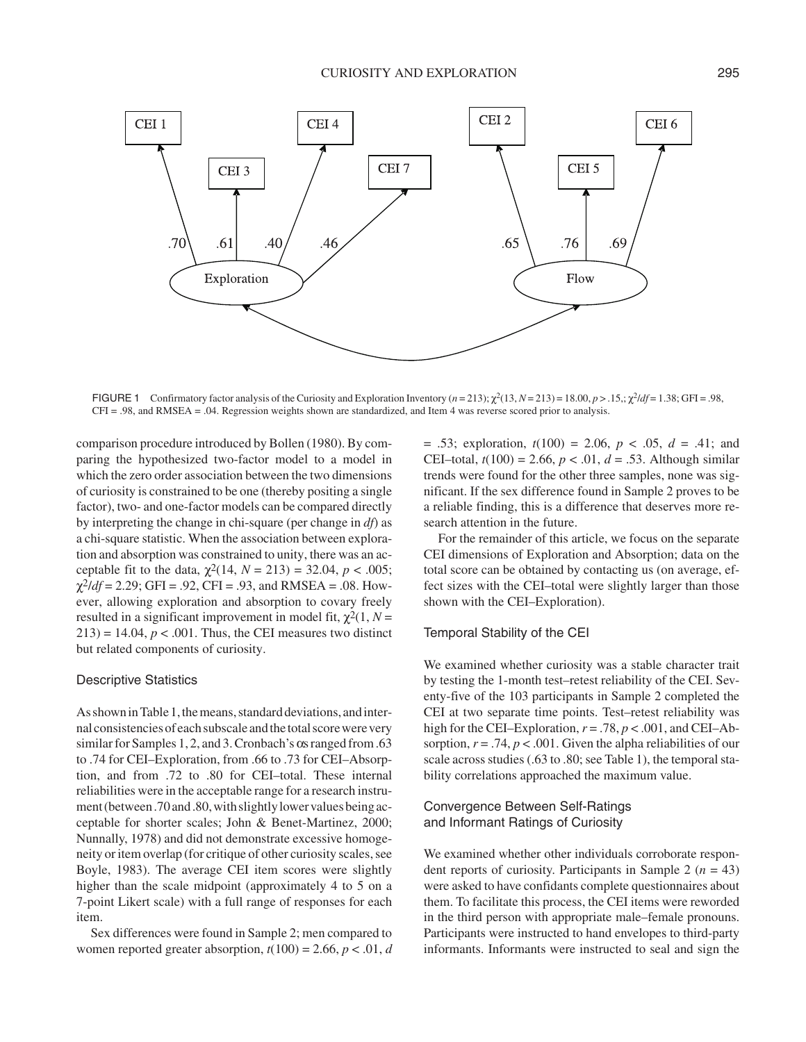

FIGURE 1 Confirmatory factor analysis of the Curiosity and Exploration Inventory ( $n = 213$ );  $\chi^2(13, N = 213) = 18.00, p > 0.15$ ;  $\chi^2/df = 1.38$ ; GFI = .98, CFI = .98, and RMSEA = .04. Regression weights shown are standardized, and Item 4 was reverse scored prior to analysis.

comparison procedure introduced by Bollen (1980). By comparing the hypothesized two-factor model to a model in which the zero order association between the two dimensions of curiosity is constrained to be one (thereby positing a single factor), two- and one-factor models can be compared directly by interpreting the change in chi-square (per change in *df*) as a chi-square statistic. When the association between exploration and absorption was constrained to unity, there was an acceptable fit to the data,  $\chi^2(14, N = 213) = 32.04, p < .005$ ;  $\chi^2/df = 2.29$ ; GFI = .92, CFI = .93, and RMSEA = .08. However, allowing exploration and absorption to covary freely resulted in a significant improvement in model fit,  $\chi^2(1, N =$  $213$ ) = 14.04,  $p < .001$ . Thus, the CEI measures two distinct but related components of curiosity.

#### Descriptive Statistics

As shown in Table 1, the means, standard deviations, and internal consistencies of each subscale and the total score were very similar for Samples 1, 2, and 3. Cronbach's  $\alpha$ s ranged from .63 to .74 for CEI–Exploration, from .66 to .73 for CEI–Absorption, and from .72 to .80 for CEI–total. These internal reliabilities were in the acceptable range for a research instrument (between.70 and .80, with slightly lower values being acceptable for shorter scales; John & Benet-Martinez, 2000; Nunnally, 1978) and did not demonstrate excessive homogeneity or item overlap (for critique of other curiosity scales, see Boyle, 1983). The average CEI item scores were slightly higher than the scale midpoint (approximately 4 to 5 on a 7-point Likert scale) with a full range of responses for each item.

Sex differences were found in Sample 2; men compared to women reported greater absorption,  $t(100) = 2.66$ ,  $p < .01$ , *d*  = .53; exploration, *t*(100) = 2.06, *p* < .05, *d* = .41; and CEI–total,  $t(100) = 2.66$ ,  $p < .01$ ,  $d = .53$ . Although similar trends were found for the other three samples, none was significant. If the sex difference found in Sample 2 proves to be a reliable finding, this is a difference that deserves more research attention in the future.

For the remainder of this article, we focus on the separate CEI dimensions of Exploration and Absorption; data on the total score can be obtained by contacting us (on average, effect sizes with the CEI–total were slightly larger than those shown with the CEI–Exploration).

#### Temporal Stability of the CEI

We examined whether curiosity was a stable character trait by testing the 1-month test–retest reliability of the CEI. Seventy-five of the 103 participants in Sample 2 completed the CEI at two separate time points. Test–retest reliability was high for the CEI–Exploration,  $r = .78$ ,  $p < .001$ , and CEI–Absorption,  $r = .74$ ,  $p < .001$ . Given the alpha reliabilities of our scale across studies (.63 to .80; see Table 1), the temporal stability correlations approached the maximum value.

# Convergence Between Self-Ratings and Informant Ratings of Curiosity

We examined whether other individuals corroborate respondent reports of curiosity. Participants in Sample 2  $(n = 43)$ were asked to have confidants complete questionnaires about them. To facilitate this process, the CEI items were reworded in the third person with appropriate male–female pronouns. Participants were instructed to hand envelopes to third-party informants. Informants were instructed to seal and sign the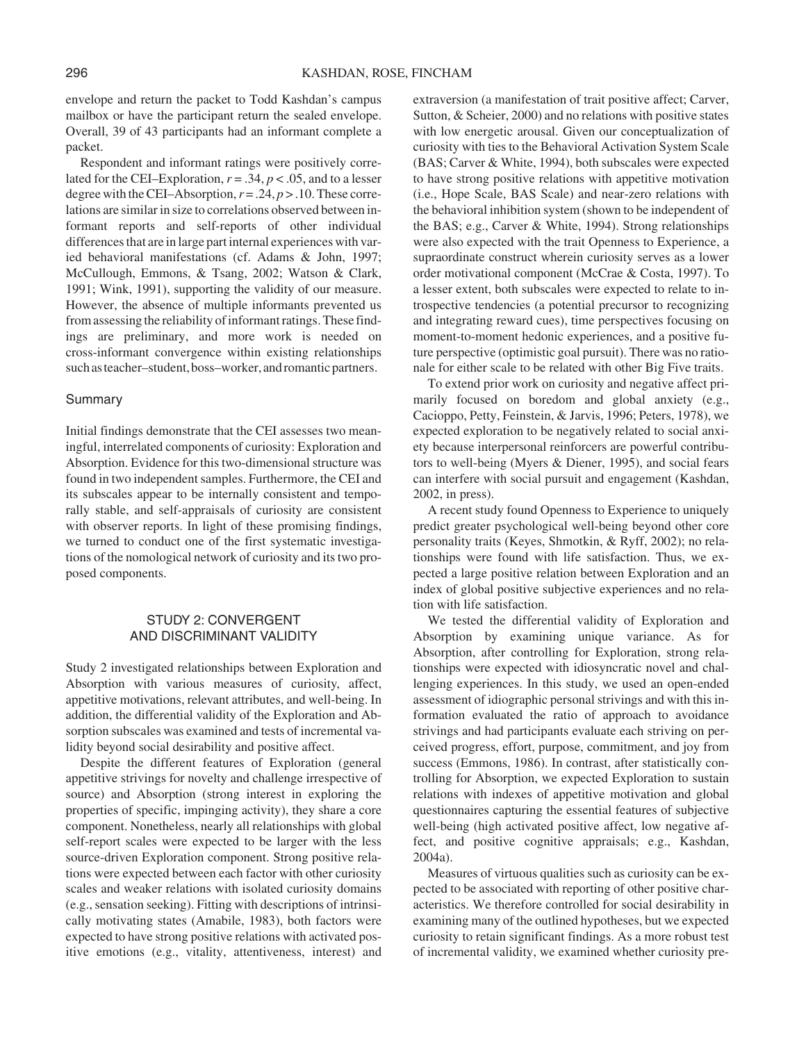envelope and return the packet to Todd Kashdan's campus mailbox or have the participant return the sealed envelope. Overall, 39 of 43 participants had an informant complete a packet.

Respondent and informant ratings were positively correlated for the CEI–Exploration,  $r = .34$ ,  $p < .05$ , and to a lesser degree with the CEI–Absorption,  $r = .24$ ,  $p > .10$ . These correlations are similar in size to correlations observed between informant reports and self-reports of other individual differences that are in large part internal experiences with varied behavioral manifestations (cf. Adams & John, 1997; McCullough, Emmons, & Tsang, 2002; Watson & Clark, 1991; Wink, 1991), supporting the validity of our measure. However, the absence of multiple informants prevented us from assessing the reliability of informant ratings. These findings are preliminary, and more work is needed on cross-informant convergence within existing relationships such as teacher–student, boss–worker, and romantic partners.

#### Summary

Initial findings demonstrate that the CEI assesses two meaningful, interrelated components of curiosity: Exploration and Absorption. Evidence for this two-dimensional structure was found in two independent samples. Furthermore, the CEI and its subscales appear to be internally consistent and temporally stable, and self-appraisals of curiosity are consistent with observer reports. In light of these promising findings, we turned to conduct one of the first systematic investigations of the nomological network of curiosity and its two proposed components.

# STUDY 2: CONVERGENT AND DISCRIMINANT VALIDITY

Study 2 investigated relationships between Exploration and Absorption with various measures of curiosity, affect, appetitive motivations, relevant attributes, and well-being. In addition, the differential validity of the Exploration and Absorption subscales was examined and tests of incremental validity beyond social desirability and positive affect.

Despite the different features of Exploration (general appetitive strivings for novelty and challenge irrespective of source) and Absorption (strong interest in exploring the properties of specific, impinging activity), they share a core component. Nonetheless, nearly all relationships with global self-report scales were expected to be larger with the less source-driven Exploration component. Strong positive relations were expected between each factor with other curiosity scales and weaker relations with isolated curiosity domains (e.g., sensation seeking). Fitting with descriptions of intrinsically motivating states (Amabile, 1983), both factors were expected to have strong positive relations with activated positive emotions (e.g., vitality, attentiveness, interest) and extraversion (a manifestation of trait positive affect; Carver, Sutton, & Scheier, 2000) and no relations with positive states with low energetic arousal. Given our conceptualization of curiosity with ties to the Behavioral Activation System Scale (BAS; Carver & White, 1994), both subscales were expected to have strong positive relations with appetitive motivation (i.e., Hope Scale, BAS Scale) and near-zero relations with the behavioral inhibition system (shown to be independent of the BAS; e.g., Carver & White, 1994). Strong relationships were also expected with the trait Openness to Experience, a supraordinate construct wherein curiosity serves as a lower order motivational component (McCrae & Costa, 1997). To a lesser extent, both subscales were expected to relate to introspective tendencies (a potential precursor to recognizing and integrating reward cues), time perspectives focusing on moment-to-moment hedonic experiences, and a positive future perspective (optimistic goal pursuit). There was no rationale for either scale to be related with other Big Five traits.

To extend prior work on curiosity and negative affect primarily focused on boredom and global anxiety (e.g., Cacioppo, Petty, Feinstein, & Jarvis, 1996; Peters, 1978), we expected exploration to be negatively related to social anxiety because interpersonal reinforcers are powerful contributors to well-being (Myers & Diener, 1995), and social fears can interfere with social pursuit and engagement (Kashdan, 2002, in press).

A recent study found Openness to Experience to uniquely predict greater psychological well-being beyond other core personality traits (Keyes, Shmotkin, & Ryff, 2002); no relationships were found with life satisfaction. Thus, we expected a large positive relation between Exploration and an index of global positive subjective experiences and no relation with life satisfaction.

We tested the differential validity of Exploration and Absorption by examining unique variance. As for Absorption, after controlling for Exploration, strong relationships were expected with idiosyncratic novel and challenging experiences. In this study, we used an open-ended assessment of idiographic personal strivings and with this information evaluated the ratio of approach to avoidance strivings and had participants evaluate each striving on perceived progress, effort, purpose, commitment, and joy from success (Emmons, 1986). In contrast, after statistically controlling for Absorption, we expected Exploration to sustain relations with indexes of appetitive motivation and global questionnaires capturing the essential features of subjective well-being (high activated positive affect, low negative affect, and positive cognitive appraisals; e.g., Kashdan, 2004a).

Measures of virtuous qualities such as curiosity can be expected to be associated with reporting of other positive characteristics. We therefore controlled for social desirability in examining many of the outlined hypotheses, but we expected curiosity to retain significant findings. As a more robust test of incremental validity, we examined whether curiosity pre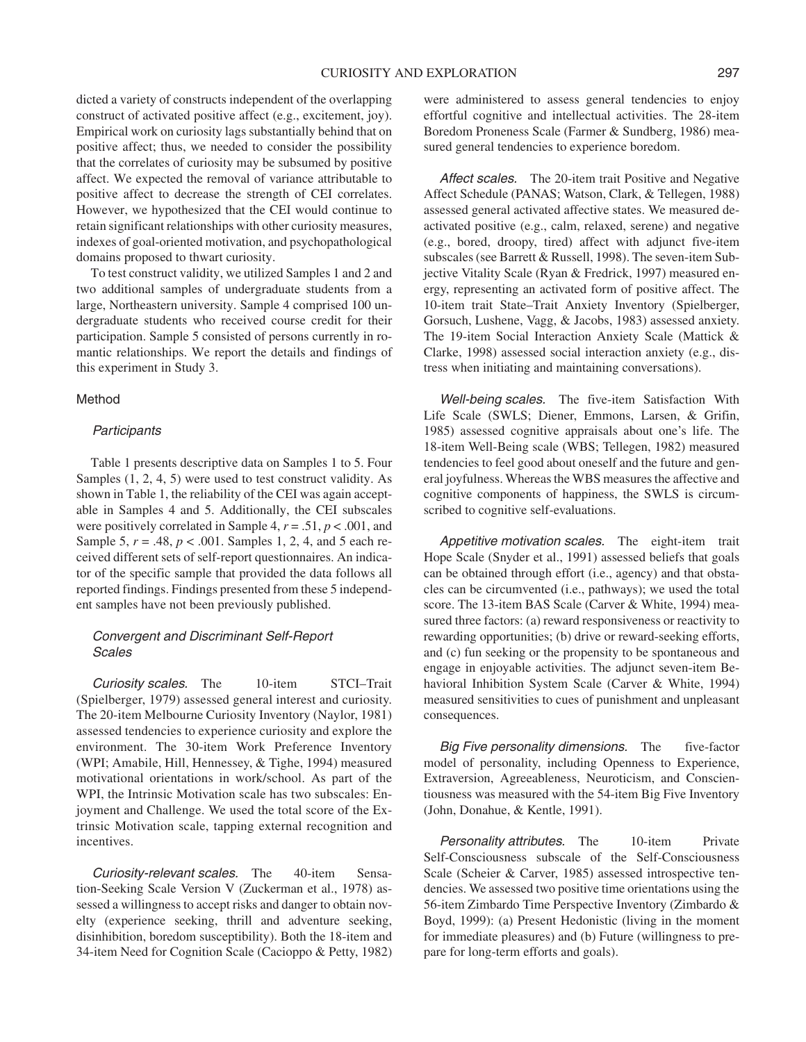dicted a variety of constructs independent of the overlapping construct of activated positive affect (e.g., excitement, joy). Empirical work on curiosity lags substantially behind that on positive affect; thus, we needed to consider the possibility that the correlates of curiosity may be subsumed by positive affect. We expected the removal of variance attributable to positive affect to decrease the strength of CEI correlates. However, we hypothesized that the CEI would continue to retain significant relationships with other curiosity measures, indexes of goal-oriented motivation, and psychopathological domains proposed to thwart curiosity.

To test construct validity, we utilized Samples 1 and 2 and two additional samples of undergraduate students from a large, Northeastern university. Sample 4 comprised 100 undergraduate students who received course credit for their participation. Sample 5 consisted of persons currently in romantic relationships. We report the details and findings of this experiment in Study 3.

# Method

# **Participants**

Table 1 presents descriptive data on Samples 1 to 5. Four Samples (1, 2, 4, 5) were used to test construct validity. As shown in Table 1, the reliability of the CEI was again acceptable in Samples 4 and 5. Additionally, the CEI subscales were positively correlated in Sample 4, *r* = .51, *p* < .001, and Sample 5, *r* = .48, *p* < .001. Samples 1, 2, 4, and 5 each received different sets of self-report questionnaires. An indicator of the specific sample that provided the data follows all reported findings. Findings presented from these 5 independent samples have not been previously published.

# Convergent and Discriminant Self-Report **Scales**

Curiosity scales. The 10-item STCI–Trait (Spielberger, 1979) assessed general interest and curiosity. The 20-item Melbourne Curiosity Inventory (Naylor, 1981) assessed tendencies to experience curiosity and explore the environment. The 30-item Work Preference Inventory (WPI; Amabile, Hill, Hennessey, & Tighe, 1994) measured motivational orientations in work/school. As part of the WPI, the Intrinsic Motivation scale has two subscales: Enjoyment and Challenge. We used the total score of the Extrinsic Motivation scale, tapping external recognition and incentives.

Curiosity-relevant scales. The 40-item Sensation-Seeking Scale Version V (Zuckerman et al., 1978) assessed a willingness to accept risks and danger to obtain novelty (experience seeking, thrill and adventure seeking, disinhibition, boredom susceptibility). Both the 18-item and 34-item Need for Cognition Scale (Cacioppo & Petty, 1982)

were administered to assess general tendencies to enjoy effortful cognitive and intellectual activities. The 28-item Boredom Proneness Scale (Farmer & Sundberg, 1986) measured general tendencies to experience boredom.

Affect scales. The 20-item trait Positive and Negative Affect Schedule (PANAS; Watson, Clark, & Tellegen, 1988) assessed general activated affective states. We measured deactivated positive (e.g., calm, relaxed, serene) and negative (e.g., bored, droopy, tired) affect with adjunct five-item subscales (see Barrett & Russell, 1998). The seven-item Subjective Vitality Scale (Ryan & Fredrick, 1997) measured energy, representing an activated form of positive affect. The 10-item trait State–Trait Anxiety Inventory (Spielberger, Gorsuch, Lushene, Vagg, & Jacobs, 1983) assessed anxiety. The 19-item Social Interaction Anxiety Scale (Mattick & Clarke, 1998) assessed social interaction anxiety (e.g., distress when initiating and maintaining conversations).

Well-being scales. The five-item Satisfaction With Life Scale (SWLS; Diener, Emmons, Larsen, & Grifin, 1985) assessed cognitive appraisals about one's life. The 18-item Well-Being scale (WBS; Tellegen, 1982) measured tendencies to feel good about oneself and the future and general joyfulness. Whereas the WBS measures the affective and cognitive components of happiness, the SWLS is circumscribed to cognitive self-evaluations.

Appetitive motivation scales. The eight-item trait Hope Scale (Snyder et al., 1991) assessed beliefs that goals can be obtained through effort (i.e., agency) and that obstacles can be circumvented (i.e., pathways); we used the total score. The 13-item BAS Scale (Carver & White, 1994) measured three factors: (a) reward responsiveness or reactivity to rewarding opportunities; (b) drive or reward-seeking efforts, and (c) fun seeking or the propensity to be spontaneous and engage in enjoyable activities. The adjunct seven-item Behavioral Inhibition System Scale (Carver & White, 1994) measured sensitivities to cues of punishment and unpleasant consequences.

Big Five personality dimensions. The five-factor model of personality, including Openness to Experience, Extraversion, Agreeableness, Neuroticism, and Conscientiousness was measured with the 54-item Big Five Inventory (John, Donahue, & Kentle, 1991).

Personality attributes. The 10-item Private Self-Consciousness subscale of the Self-Consciousness Scale (Scheier & Carver, 1985) assessed introspective tendencies. We assessed two positive time orientations using the 56-item Zimbardo Time Perspective Inventory (Zimbardo & Boyd, 1999): (a) Present Hedonistic (living in the moment for immediate pleasures) and (b) Future (willingness to prepare for long-term efforts and goals).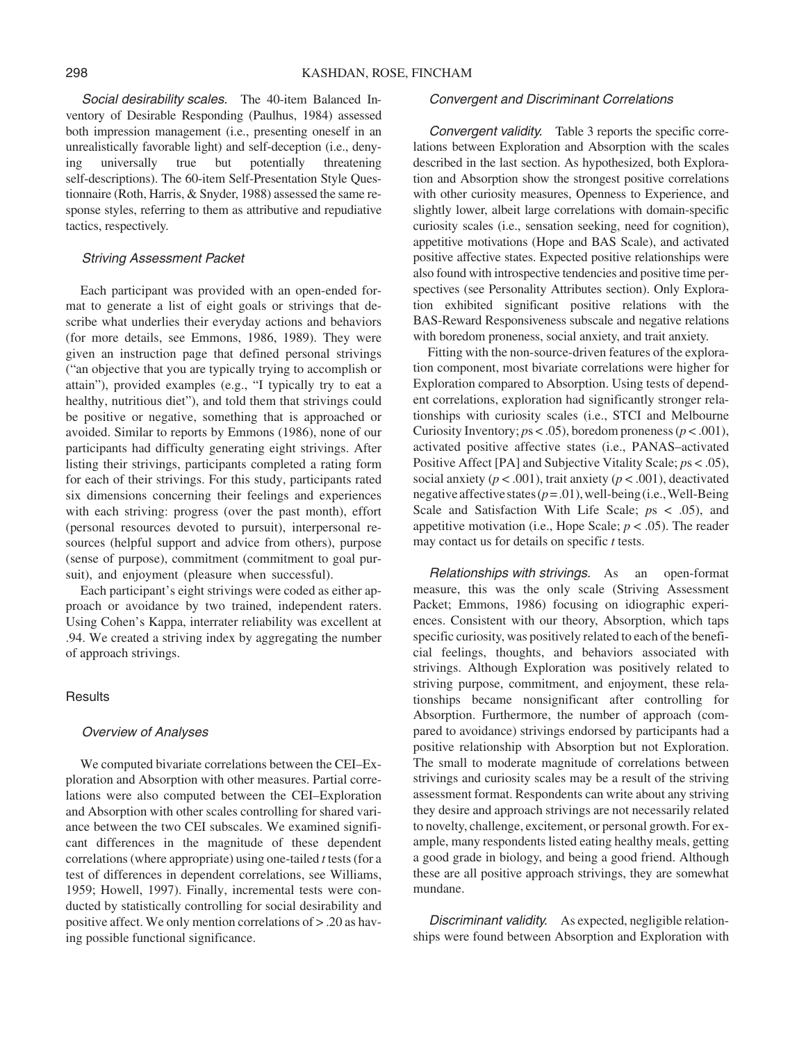Social desirability scales. The 40-item Balanced Inventory of Desirable Responding (Paulhus, 1984) assessed both impression management (i.e., presenting oneself in an unrealistically favorable light) and self-deception (i.e., denying universally true but potentially threatening self-descriptions). The 60-item Self-Presentation Style Questionnaire (Roth, Harris, & Snyder, 1988) assessed the same response styles, referring to them as attributive and repudiative tactics, respectively.

#### Striving Assessment Packet

Each participant was provided with an open-ended format to generate a list of eight goals or strivings that describe what underlies their everyday actions and behaviors (for more details, see Emmons, 1986, 1989). They were given an instruction page that defined personal strivings ("an objective that you are typically trying to accomplish or attain"), provided examples (e.g., "I typically try to eat a healthy, nutritious diet"), and told them that strivings could be positive or negative, something that is approached or avoided. Similar to reports by Emmons (1986), none of our participants had difficulty generating eight strivings. After listing their strivings, participants completed a rating form for each of their strivings. For this study, participants rated six dimensions concerning their feelings and experiences with each striving: progress (over the past month), effort (personal resources devoted to pursuit), interpersonal resources (helpful support and advice from others), purpose (sense of purpose), commitment (commitment to goal pursuit), and enjoyment (pleasure when successful).

Each participant's eight strivings were coded as either approach or avoidance by two trained, independent raters. Using Cohen's Kappa, interrater reliability was excellent at .94. We created a striving index by aggregating the number of approach strivings.

## **Results**

#### Overview of Analyses

We computed bivariate correlations between the CEI–Exploration and Absorption with other measures. Partial correlations were also computed between the CEI–Exploration and Absorption with other scales controlling for shared variance between the two CEI subscales. We examined significant differences in the magnitude of these dependent correlations (where appropriate) using one-tailed *t* tests (for a test of differences in dependent correlations, see Williams, 1959; Howell, 1997). Finally, incremental tests were conducted by statistically controlling for social desirability and positive affect. We only mention correlations of > .20 as having possible functional significance.

#### Convergent and Discriminant Correlations

Convergent validity. Table 3 reports the specific correlations between Exploration and Absorption with the scales described in the last section. As hypothesized, both Exploration and Absorption show the strongest positive correlations with other curiosity measures, Openness to Experience, and slightly lower, albeit large correlations with domain-specific curiosity scales (i.e., sensation seeking, need for cognition), appetitive motivations (Hope and BAS Scale), and activated positive affective states. Expected positive relationships were also found with introspective tendencies and positive time perspectives (see Personality Attributes section). Only Exploration exhibited significant positive relations with the BAS-Reward Responsiveness subscale and negative relations with boredom proneness, social anxiety, and trait anxiety.

Fitting with the non-source-driven features of the exploration component, most bivariate correlations were higher for Exploration compared to Absorption. Using tests of dependent correlations, exploration had significantly stronger relationships with curiosity scales (i.e., STCI and Melbourne Curiosity Inventory;  $ps < .05$ ), boredom proneness ( $p < .001$ ), activated positive affective states (i.e., PANAS–activated Positive Affect [PA] and Subjective Vitality Scale; *p*s < .05), social anxiety ( $p < .001$ ), trait anxiety ( $p < .001$ ), deactivated negative affective states  $(p=.01)$ , well-being (i.e., Well-Being) Scale and Satisfaction With Life Scale; *p*s < .05), and appetitive motivation (i.e., Hope Scale;  $p < .05$ ). The reader may contact us for details on specific *t* tests.

Relationships with strivings. As an open-format measure, this was the only scale (Striving Assessment Packet; Emmons, 1986) focusing on idiographic experiences. Consistent with our theory, Absorption, which taps specific curiosity, was positively related to each of the beneficial feelings, thoughts, and behaviors associated with strivings. Although Exploration was positively related to striving purpose, commitment, and enjoyment, these relationships became nonsignificant after controlling for Absorption. Furthermore, the number of approach (compared to avoidance) strivings endorsed by participants had a positive relationship with Absorption but not Exploration. The small to moderate magnitude of correlations between strivings and curiosity scales may be a result of the striving assessment format. Respondents can write about any striving they desire and approach strivings are not necessarily related to novelty, challenge, excitement, or personal growth. For example, many respondents listed eating healthy meals, getting a good grade in biology, and being a good friend. Although these are all positive approach strivings, they are somewhat mundane.

Discriminant validity. As expected, negligible relationships were found between Absorption and Exploration with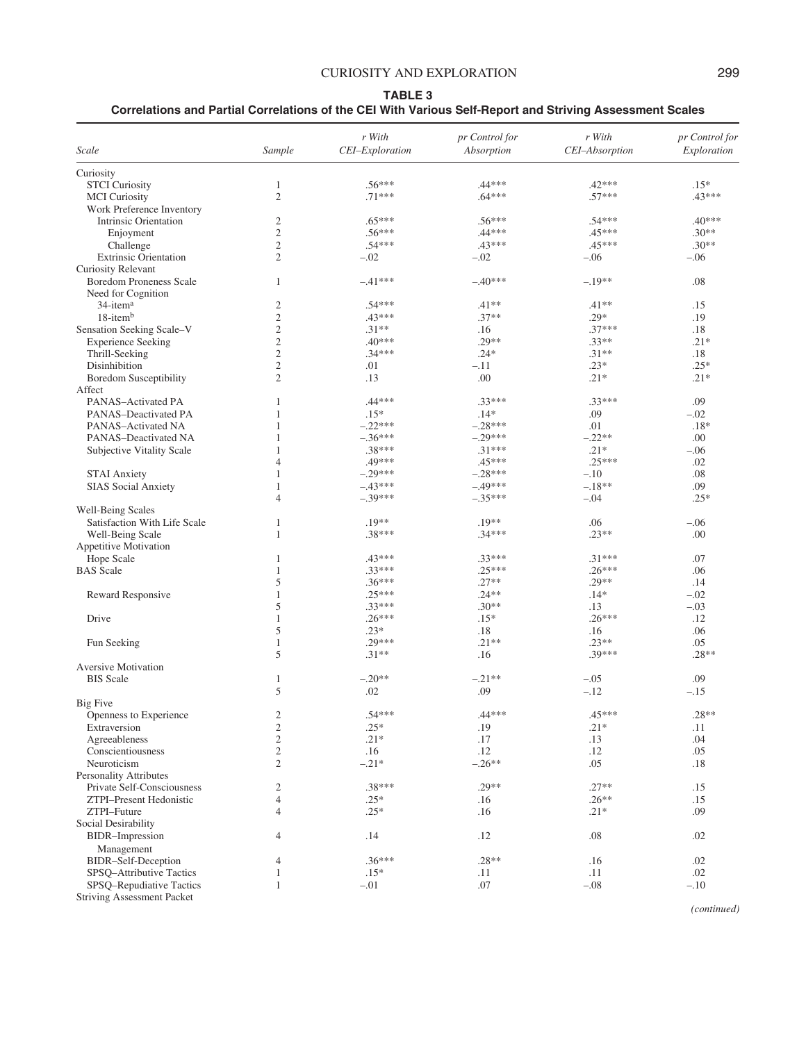# CURIOSITY AND EXPLORATION 299

#### **TABLE 3**

**Correlations and Partial Correlations of the CEI With Various Self-Report and Striving Assessment Scales**

|                                                                               | r With                 | pr Control for         | r With          | pr Control for |
|-------------------------------------------------------------------------------|------------------------|------------------------|-----------------|----------------|
| Scale<br>Sample                                                               | CEI-Exploration        | Absorption             | CEI-Absorption  | Exploration    |
| Curiosity                                                                     |                        |                        |                 |                |
| <b>STCI</b> Curiosity<br>$\mathbf{1}$                                         | $.56***$               | $.44***$               | .42***          | $.15*$         |
| $\mathfrak{2}$<br><b>MCI</b> Curiosity                                        | $.71***$               | $.64***$               | $.57***$        | .43***         |
| Work Preference Inventory                                                     |                        |                        |                 |                |
| <b>Intrinsic Orientation</b><br>$\mathfrak{2}$                                | $.65***$               | $.56***$               | $.54***$        | $.40***$       |
| $\overline{c}$<br>Enjoyment                                                   | $.56***$               | $.44***$               | $.45***$        | $.30**$        |
| Challenge<br>$\mathfrak{2}$                                                   | $.54***$               | $.43***$               | $.45***$        | $.30**$        |
| $\overline{c}$<br><b>Extrinsic Orientation</b>                                | $-.02$                 | $-.02$                 | $-.06$          | $-.06$         |
| <b>Curiosity Relevant</b>                                                     |                        |                        |                 |                |
| <b>Boredom Proneness Scale</b><br>$\mathbf{1}$                                | $-.41***$              | $-.40***$              | $-.19**$        | .08            |
| Need for Cognition                                                            |                        |                        |                 |                |
| 34-item <sup>a</sup><br>2                                                     | $.54***$               | $.41**$                | $.41**$         | .15            |
| $18$ -item $b$<br>$\mathfrak{2}$                                              | $.43***$               | $.37**$                | $.29*$          | .19            |
| $\mathfrak{2}$<br>Sensation Seeking Scale-V                                   | $.31**$                | .16                    | $.37***$        | .18            |
| $\mathfrak{2}$<br><b>Experience Seeking</b>                                   | $.40***$               | $.29**$                | $.33**$         | $.21*$         |
| $\mathfrak{2}$<br>Thrill-Seeking                                              | $.34***$               | $.24*$                 | $.31**$         | .18            |
| $\mathfrak{2}$<br>Disinhibition                                               | .01                    | $-.11$                 | $.23*$          | $.25*$         |
| $\mathfrak{2}$<br><b>Boredom Susceptibility</b>                               | .13                    | .00                    | $.21*$          | $.21*$         |
| Affect                                                                        |                        |                        |                 |                |
| PANAS-Activated PA<br>1                                                       | $.44***$<br>$.15*$     | $.33***$<br>$.14*$     | $.33***$        | .09            |
| PANAS-Deactivated PA<br>1                                                     |                        |                        | .09             | $-.02$         |
| PANAS-Activated NA<br>1<br>PANAS-Deactivated NA<br>1                          | $-.22***$<br>$-.36***$ | $-.28***$<br>$-.29***$ | .01<br>$-.22**$ | $.18*$<br>.00  |
| 1                                                                             | $.38***$               | $.31***$               | $.21*$          | $-.06$         |
| Subjective Vitality Scale<br>$\overline{4}$                                   | .49***                 | $.45***$               | $.25***$        | .02            |
| <b>STAI Anxiety</b><br>$\mathbf{1}$                                           | $-.29***$              | $-.28***$              | $-.10$          | .08            |
| <b>SIAS</b> Social Anxiety<br>1                                               | $-.43***$              | $-.49***$              | $-.18**$        | .09            |
| $\overline{4}$                                                                | $-.39***$              | $-.35***$              | $-.04$          | $.25*$         |
| Well-Being Scales                                                             |                        |                        |                 |                |
| Satisfaction With Life Scale<br>1                                             | $.19**$                | $.19**$                | .06             | $-.06$         |
| Well-Being Scale<br>1                                                         | $.38***$               | $.34***$               | $.23**$         | .00            |
| Appetitive Motivation                                                         |                        |                        |                 |                |
| Hope Scale<br>1                                                               | .43***                 | $.33***$               | $.31***$        | .07            |
| <b>BAS</b> Scale<br>1                                                         | $.33***$               | $.25***$               | $.26***$        | .06            |
| 5                                                                             | $.36***$               | $.27**$                | $.29**$         | .14            |
| $\mathbf{1}$<br>Reward Responsive                                             | $.25***$               | $.24**$                | $.14*$          | $-.02$         |
| 5                                                                             | $.33***$               | $.30**$                | .13             | $-.03$         |
| $\mathbf{1}$<br>Drive                                                         | $.26***$               | $.15*$                 | $.26***$        | .12            |
| 5                                                                             | $.23*$                 | .18                    | .16             | .06            |
| Fun Seeking<br>$\mathbf{1}$                                                   | .29***                 | $.21**$                | $.23**$         | .05            |
| 5                                                                             | $.31**$                | .16                    | $.39***$        | $.28**$        |
| <b>Aversive Motivation</b>                                                    |                        |                        |                 |                |
| <b>BIS</b> Scale<br>$\mathbf{1}$                                              | $-.20**$               | $-.21**$               | $-.05$          | .09            |
| 5                                                                             | .02                    | .09                    | $-.12$          | $-.15$         |
| <b>Big Five</b>                                                               |                        |                        |                 |                |
| 2<br>Openness to Experience                                                   | $.54***$               | $.44***$               | $.45***$        | $.28**$        |
| $\sqrt{2}$<br>Extraversion                                                    | $.25*$                 | .19                    | $.21*$          | .11            |
| $\overline{c}$<br>Agreeableness                                               | $.21*$                 | $.17\,$                | .13             | .04            |
| $\mathfrak{2}$<br>Conscientiousness                                           | .16                    | .12                    | .12             | .05            |
| Neuroticism<br>$\mathfrak{2}$                                                 | $-.21*$                | $-.26**$               | .05             | .18            |
| <b>Personality Attributes</b>                                                 |                        |                        |                 |                |
| $\mathfrak{2}$<br>Private Self-Consciousness                                  | $.38***$               | $.29**$                | $.27**$         | .15            |
| ZTPI-Present Hedonistic<br>$\overline{4}$                                     | $.25*$                 | .16                    | $.26**$         | .15            |
| ZTPI-Future<br>$\overline{4}$                                                 | $.25*$                 | .16                    | $.21*$          | .09            |
| Social Desirability                                                           |                        |                        |                 |                |
| <b>BIDR-Impression</b><br>4                                                   | .14                    | .12                    | $.08\,$         | .02            |
| Management                                                                    |                        |                        |                 |                |
| BIDR-Self-Deception<br>4                                                      | $.36***$               | $.28**$                | .16             | .02            |
| SPSQ-Attributive Tactics<br>$\mathbf{1}$                                      | $.15*$                 | .11                    | .11             | .02            |
| SPSQ-Repudiative Tactics<br>$\mathbf{1}$<br><b>Striving Assessment Packet</b> | $-.01$                 | .07                    | $-.08$          | $-.10$         |

*(continued)*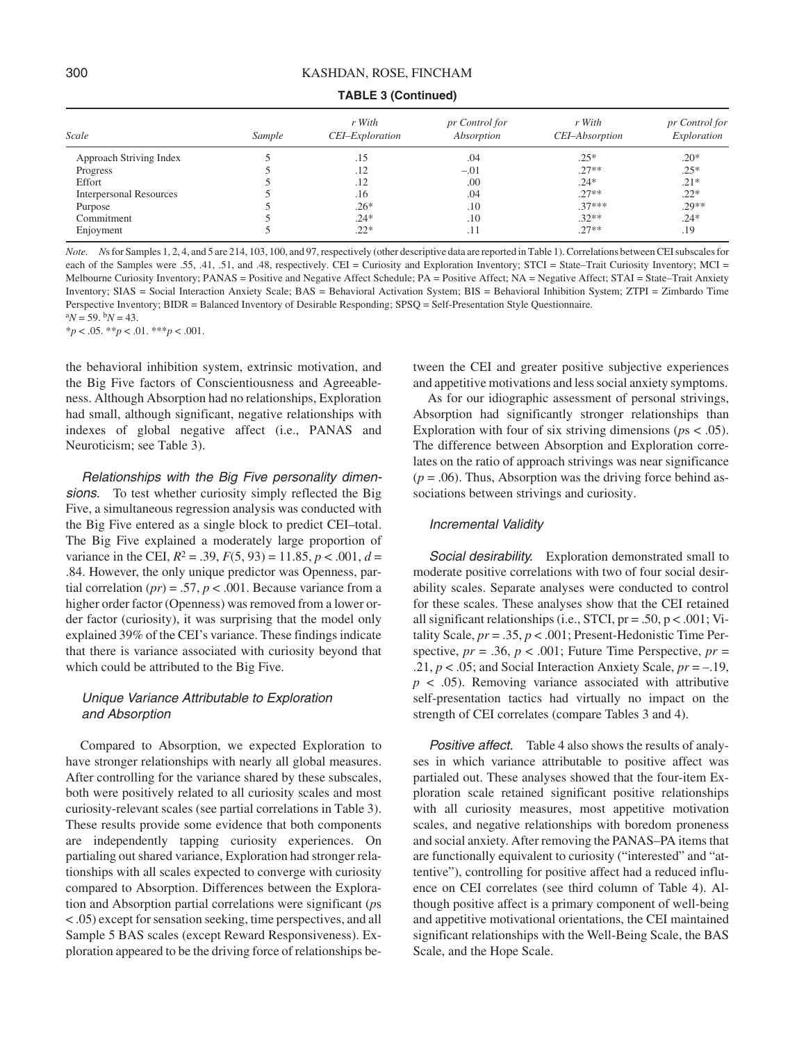| Scale                          | Sample | r With<br>CEI-Exploration | pr Control for<br>Absorption | r With<br>CEI-Absorption | pr Control for<br>Exploration |
|--------------------------------|--------|---------------------------|------------------------------|--------------------------|-------------------------------|
| Approach Striving Index        |        | .15                       | .04                          | $.25*$                   | $.20*$                        |
| Progress                       |        | .12                       | $-.01$                       | $.27**$                  | $.25*$                        |
| Effort                         |        | .12                       | .00                          | $.24*$                   | $.21*$                        |
| <b>Interpersonal Resources</b> |        | .16                       | .04                          | $.27**$                  | $.22*$                        |
| Purpose                        |        | $.26*$                    | .10                          | $.37***$                 | $.29**$                       |
| Commitment                     |        | $.24*$                    | .10                          | $.32**$                  | $.24*$                        |
| Enjoyment                      |        | $.22*$                    | .11                          | $.27**$                  | .19                           |

**TABLE 3 (Continued)**

*Note.* Ns for Samples 1, 2, 4, and 5 are 214, 103, 100, and 97, respectively (other descriptive data are reported in Table 1). Correlations between CEI subscales for each of the Samples were .55, .41, .51, and .48, respectively. CEI = Curiosity and Exploration Inventory; STCI = State–Trait Curiosity Inventory; MCI = Melbourne Curiosity Inventory; PANAS = Positive and Negative Affect Schedule; PA = Positive Affect; NA = Negative Affect; STAI = State–Trait Anxiety Inventory; SIAS = Social Interaction Anxiety Scale; BAS = Behavioral Activation System; BIS = Behavioral Inhibition System; ZTPI = Zimbardo Time Perspective Inventory; BIDR = Balanced Inventory of Desirable Responding; SPSQ = Self-Presentation Style Questionnaire.  $^{a}N = 59.$   $^{b}N = 43.$ 

\**p* < .05. \*\**p* < .01. \*\*\**p* < .001.

the behavioral inhibition system, extrinsic motivation, and the Big Five factors of Conscientiousness and Agreeableness. Although Absorption had no relationships, Exploration had small, although significant, negative relationships with indexes of global negative affect (i.e., PANAS and Neuroticism; see Table 3).

Relationships with the Big Five personality dimensions. To test whether curiosity simply reflected the Big Five, a simultaneous regression analysis was conducted with the Big Five entered as a single block to predict CEI–total. The Big Five explained a moderately large proportion of variance in the CEI,  $R^2 = .39$ ,  $F(5, 93) = 11.85$ ,  $p < .001$ ,  $d =$ .84. However, the only unique predictor was Openness, partial correlation  $(pr) = .57$ ,  $p < .001$ . Because variance from a higher order factor (Openness) was removed from a lower order factor (curiosity), it was surprising that the model only explained 39% of the CEI's variance. These findings indicate that there is variance associated with curiosity beyond that which could be attributed to the Big Five.

# Unique Variance Attributable to Exploration and Absorption

Compared to Absorption, we expected Exploration to have stronger relationships with nearly all global measures. After controlling for the variance shared by these subscales, both were positively related to all curiosity scales and most curiosity-relevant scales (see partial correlations in Table 3). These results provide some evidence that both components are independently tapping curiosity experiences. On partialing out shared variance, Exploration had stronger relationships with all scales expected to converge with curiosity compared to Absorption. Differences between the Exploration and Absorption partial correlations were significant (*p*s < .05) except for sensation seeking, time perspectives, and all Sample 5 BAS scales (except Reward Responsiveness). Exploration appeared to be the driving force of relationships be-

tween the CEI and greater positive subjective experiences and appetitive motivations and less social anxiety symptoms.

As for our idiographic assessment of personal strivings, Absorption had significantly stronger relationships than Exploration with four of six striving dimensions (*p*s < .05). The difference between Absorption and Exploration correlates on the ratio of approach strivings was near significance  $(p = .06)$ . Thus, Absorption was the driving force behind associations between strivings and curiosity.

#### Incremental Validity

Social desirability. Exploration demonstrated small to moderate positive correlations with two of four social desirability scales. Separate analyses were conducted to control for these scales. These analyses show that the CEI retained all significant relationships (i.e., STCI,  $pr = .50$ ,  $p < .001$ ; Vitality Scale, *pr* = .35, *p* < .001; Present-Hedonistic Time Perspective,  $pr = .36$ ,  $p < .001$ ; Future Time Perspective,  $pr =$ .21, *p* < .05; and Social Interaction Anxiety Scale, *pr* = –.19, *p* < .05). Removing variance associated with attributive self-presentation tactics had virtually no impact on the strength of CEI correlates (compare Tables 3 and 4).

Positive affect. Table 4 also shows the results of analyses in which variance attributable to positive affect was partialed out. These analyses showed that the four-item Exploration scale retained significant positive relationships with all curiosity measures, most appetitive motivation scales, and negative relationships with boredom proneness and social anxiety. After removing the PANAS–PA items that are functionally equivalent to curiosity ("interested" and "attentive"), controlling for positive affect had a reduced influence on CEI correlates (see third column of Table 4). Although positive affect is a primary component of well-being and appetitive motivational orientations, the CEI maintained significant relationships with the Well-Being Scale, the BAS Scale, and the Hope Scale.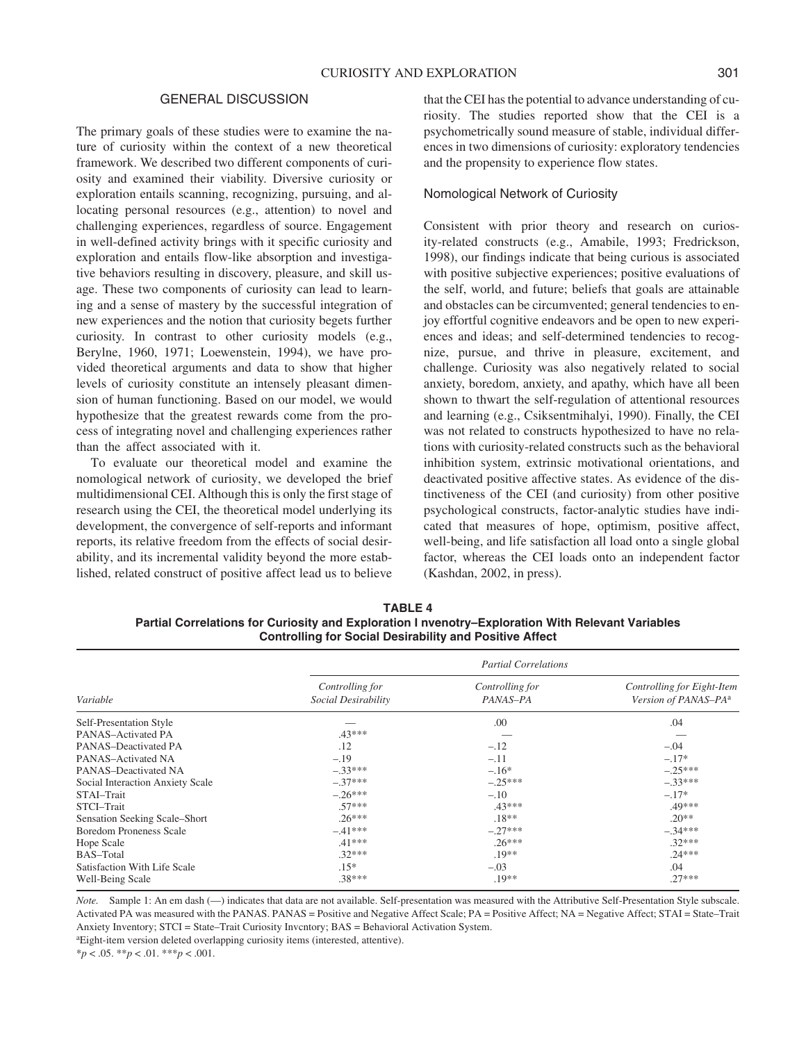#### GENERAL DISCUSSION

The primary goals of these studies were to examine the nature of curiosity within the context of a new theoretical framework. We described two different components of curiosity and examined their viability. Diversive curiosity or exploration entails scanning, recognizing, pursuing, and allocating personal resources (e.g., attention) to novel and challenging experiences, regardless of source. Engagement in well-defined activity brings with it specific curiosity and exploration and entails flow-like absorption and investigative behaviors resulting in discovery, pleasure, and skill usage. These two components of curiosity can lead to learning and a sense of mastery by the successful integration of new experiences and the notion that curiosity begets further curiosity. In contrast to other curiosity models (e.g., Berylne, 1960, 1971; Loewenstein, 1994), we have provided theoretical arguments and data to show that higher levels of curiosity constitute an intensely pleasant dimension of human functioning. Based on our model, we would hypothesize that the greatest rewards come from the process of integrating novel and challenging experiences rather than the affect associated with it.

To evaluate our theoretical model and examine the nomological network of curiosity, we developed the brief multidimensional CEI. Although this is only the first stage of research using the CEI, the theoretical model underlying its development, the convergence of self-reports and informant reports, its relative freedom from the effects of social desirability, and its incremental validity beyond the more established, related construct of positive affect lead us to believe that the CEI has the potential to advance understanding of curiosity. The studies reported show that the CEI is a psychometrically sound measure of stable, individual differences in two dimensions of curiosity: exploratory tendencies and the propensity to experience flow states.

#### Nomological Network of Curiosity

Consistent with prior theory and research on curiosity-related constructs (e.g., Amabile, 1993; Fredrickson, 1998), our findings indicate that being curious is associated with positive subjective experiences; positive evaluations of the self, world, and future; beliefs that goals are attainable and obstacles can be circumvented; general tendencies to enjoy effortful cognitive endeavors and be open to new experiences and ideas; and self-determined tendencies to recognize, pursue, and thrive in pleasure, excitement, and challenge. Curiosity was also negatively related to social anxiety, boredom, anxiety, and apathy, which have all been shown to thwart the self-regulation of attentional resources and learning (e.g., Csiksentmihalyi, 1990). Finally, the CEI was not related to constructs hypothesized to have no relations with curiosity-related constructs such as the behavioral inhibition system, extrinsic motivational orientations, and deactivated positive affective states. As evidence of the distinctiveness of the CEI (and curiosity) from other positive psychological constructs, factor-analytic studies have indicated that measures of hope, optimism, positive affect, well-being, and life satisfaction all load onto a single global factor, whereas the CEI loads onto an independent factor (Kashdan, 2002, in press).

**TABLE 4 Partial Correlations for Curiosity and Exploration I nvenotry–Exploration With Relevant Variables Controlling for Social Desirability and Positive Affect**

|                                  | <b>Partial Correlations</b>            |                             |                                                                |  |  |  |
|----------------------------------|----------------------------------------|-----------------------------|----------------------------------------------------------------|--|--|--|
| Variable                         | Controlling for<br>Social Desirability | Controlling for<br>PANAS-PA | Controlling for Eight-Item<br>Version of PANAS-PA <sup>a</sup> |  |  |  |
| Self-Presentation Style          |                                        | .00                         | .04                                                            |  |  |  |
| PANAS-Activated PA               | .43***                                 |                             |                                                                |  |  |  |
| PANAS-Deactivated PA             | .12                                    | $-.12$                      | $-.04$                                                         |  |  |  |
| PANAS-Activated NA               | $-.19$                                 | $-.11$                      | $-.17*$                                                        |  |  |  |
| PANAS-Deactivated NA             | $-.33***$                              | $-.16*$                     | $-.25***$                                                      |  |  |  |
| Social Interaction Anxiety Scale | $-.37***$                              | $-.25***$                   | $-.33***$                                                      |  |  |  |
| STAI-Trait                       | $-.26***$                              | $-.10$                      | $-.17*$                                                        |  |  |  |
| STCI-Trait                       | $.57***$                               | $.43***$                    | .49***                                                         |  |  |  |
| Sensation Seeking Scale–Short    | $.26***$                               | $.18**$                     | $.20**$                                                        |  |  |  |
| <b>Boredom Proneness Scale</b>   | $-.41***$                              | $-.27***$                   | $-.34***$                                                      |  |  |  |
| Hope Scale                       | $.41***$                               | $.26***$                    | $.32***$                                                       |  |  |  |
| BAS-Total                        | $.32***$                               | $.19**$                     | $.24***$                                                       |  |  |  |
| Satisfaction With Life Scale     | $.15*$                                 | $-.03$                      | .04                                                            |  |  |  |
| Well-Being Scale                 | .38***                                 | $.19**$                     | $.27***$                                                       |  |  |  |

*Note.* Sample 1: An em dash (—) indicates that data are not available. Self-presentation was measured with the Attributive Self-Presentation Style subscale. Activated PA was measured with the PANAS. PANAS = Positive and Negative Affect Scale; PA = Positive Affect; NA = Negative Affect; STAI = State–Trait Anxiety Inventory; STCI = State–Trait Curiosity Invcntory; BAS = Behavioral Activation System.

aEight-item version deleted overlapping curiosity items (interested, attentive).

\**p* < .05. \*\**p* < .01. \*\*\**p* < .001.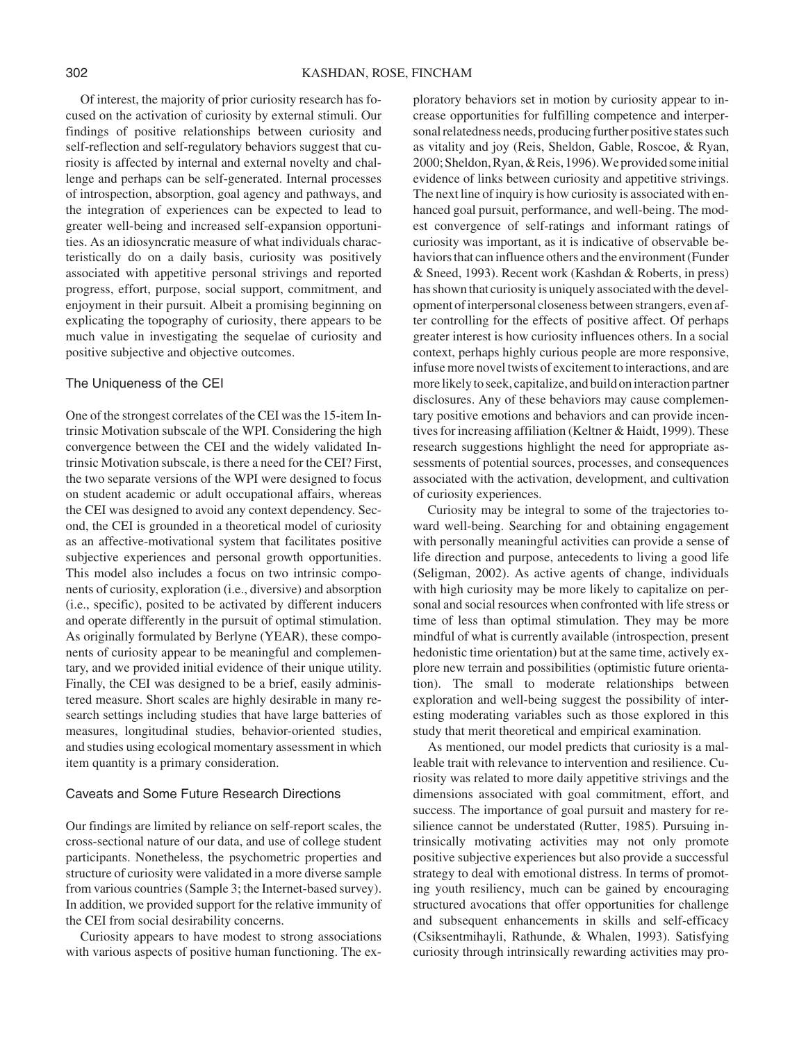Of interest, the majority of prior curiosity research has focused on the activation of curiosity by external stimuli. Our findings of positive relationships between curiosity and self-reflection and self-regulatory behaviors suggest that curiosity is affected by internal and external novelty and challenge and perhaps can be self-generated. Internal processes of introspection, absorption, goal agency and pathways, and the integration of experiences can be expected to lead to greater well-being and increased self-expansion opportunities. As an idiosyncratic measure of what individuals characteristically do on a daily basis, curiosity was positively associated with appetitive personal strivings and reported progress, effort, purpose, social support, commitment, and enjoyment in their pursuit. Albeit a promising beginning on explicating the topography of curiosity, there appears to be much value in investigating the sequelae of curiosity and positive subjective and objective outcomes.

## The Uniqueness of the CEI

One of the strongest correlates of the CEI was the 15-item Intrinsic Motivation subscale of the WPI. Considering the high convergence between the CEI and the widely validated Intrinsic Motivation subscale, is there a need for the CEI? First, the two separate versions of the WPI were designed to focus on student academic or adult occupational affairs, whereas the CEI was designed to avoid any context dependency. Second, the CEI is grounded in a theoretical model of curiosity as an affective-motivational system that facilitates positive subjective experiences and personal growth opportunities. This model also includes a focus on two intrinsic components of curiosity, exploration (i.e., diversive) and absorption (i.e., specific), posited to be activated by different inducers and operate differently in the pursuit of optimal stimulation. As originally formulated by Berlyne (YEAR), these components of curiosity appear to be meaningful and complementary, and we provided initial evidence of their unique utility. Finally, the CEI was designed to be a brief, easily administered measure. Short scales are highly desirable in many research settings including studies that have large batteries of measures, longitudinal studies, behavior-oriented studies, and studies using ecological momentary assessment in which item quantity is a primary consideration.

## Caveats and Some Future Research Directions

Our findings are limited by reliance on self-report scales, the cross-sectional nature of our data, and use of college student participants. Nonetheless, the psychometric properties and structure of curiosity were validated in a more diverse sample from various countries (Sample 3; the Internet-based survey). In addition, we provided support for the relative immunity of the CEI from social desirability concerns.

Curiosity appears to have modest to strong associations with various aspects of positive human functioning. The ex-

ploratory behaviors set in motion by curiosity appear to increase opportunities for fulfilling competence and interpersonal relatedness needs, producing further positive states such as vitality and joy (Reis, Sheldon, Gable, Roscoe, & Ryan, 2000; Sheldon, Ryan, & Reis, 1996). We provided some initial evidence of links between curiosity and appetitive strivings. The next line of inquiry is how curiosity is associated with enhanced goal pursuit, performance, and well-being. The modest convergence of self-ratings and informant ratings of curiosity was important, as it is indicative of observable behaviors that can influence others and the environment (Funder & Sneed, 1993). Recent work (Kashdan & Roberts, in press) has shown that curiosity is uniquely associated with the development of interpersonal closeness between strangers, even after controlling for the effects of positive affect. Of perhaps greater interest is how curiosity influences others. In a social context, perhaps highly curious people are more responsive, infuse more novel twists of excitement to interactions, and are more likely to seek, capitalize, and build on interaction partner disclosures. Any of these behaviors may cause complementary positive emotions and behaviors and can provide incentives for increasing affiliation (Keltner & Haidt, 1999). These research suggestions highlight the need for appropriate assessments of potential sources, processes, and consequences associated with the activation, development, and cultivation of curiosity experiences.

Curiosity may be integral to some of the trajectories toward well-being. Searching for and obtaining engagement with personally meaningful activities can provide a sense of life direction and purpose, antecedents to living a good life (Seligman, 2002). As active agents of change, individuals with high curiosity may be more likely to capitalize on personal and social resources when confronted with life stress or time of less than optimal stimulation. They may be more mindful of what is currently available (introspection, present hedonistic time orientation) but at the same time, actively explore new terrain and possibilities (optimistic future orientation). The small to moderate relationships between exploration and well-being suggest the possibility of interesting moderating variables such as those explored in this study that merit theoretical and empirical examination.

As mentioned, our model predicts that curiosity is a malleable trait with relevance to intervention and resilience. Curiosity was related to more daily appetitive strivings and the dimensions associated with goal commitment, effort, and success. The importance of goal pursuit and mastery for resilience cannot be understated (Rutter, 1985). Pursuing intrinsically motivating activities may not only promote positive subjective experiences but also provide a successful strategy to deal with emotional distress. In terms of promoting youth resiliency, much can be gained by encouraging structured avocations that offer opportunities for challenge and subsequent enhancements in skills and self-efficacy (Csiksentmihayli, Rathunde, & Whalen, 1993). Satisfying curiosity through intrinsically rewarding activities may pro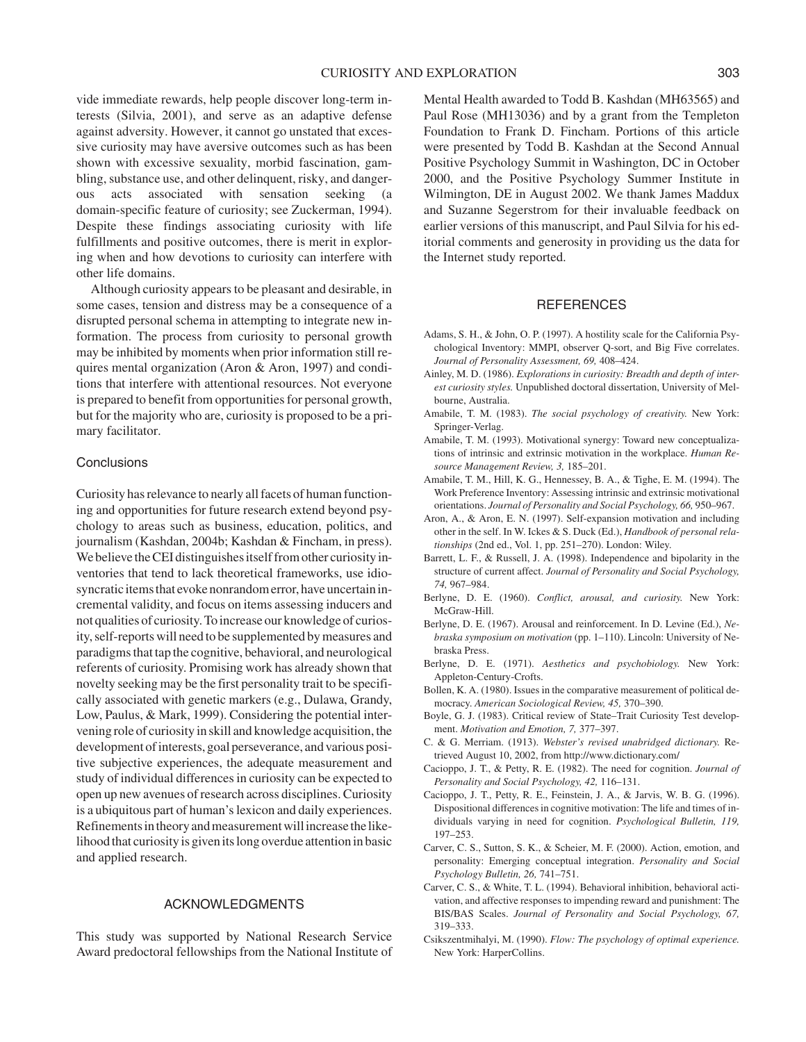vide immediate rewards, help people discover long-term interests (Silvia, 2001), and serve as an adaptive defense against adversity. However, it cannot go unstated that excessive curiosity may have aversive outcomes such as has been shown with excessive sexuality, morbid fascination, gambling, substance use, and other delinquent, risky, and dangerous acts associated with sensation seeking (a domain-specific feature of curiosity; see Zuckerman, 1994). Despite these findings associating curiosity with life fulfillments and positive outcomes, there is merit in exploring when and how devotions to curiosity can interfere with other life domains.

Although curiosity appears to be pleasant and desirable, in some cases, tension and distress may be a consequence of a disrupted personal schema in attempting to integrate new information. The process from curiosity to personal growth may be inhibited by moments when prior information still requires mental organization (Aron & Aron, 1997) and conditions that interfere with attentional resources. Not everyone is prepared to benefit from opportunities for personal growth, but for the majority who are, curiosity is proposed to be a primary facilitator.

## **Conclusions**

Curiosity has relevance to nearly all facets of human functioning and opportunities for future research extend beyond psychology to areas such as business, education, politics, and journalism (Kashdan, 2004b; Kashdan & Fincham, in press). We believe the CEI distinguishes itself from other curiosity inventories that tend to lack theoretical frameworks, use idiosyncratic items that evoke nonrandom error, have uncertain incremental validity, and focus on items assessing inducers and not qualities of curiosity. To increase our knowledge of curiosity, self-reports will need to be supplemented by measures and paradigms that tap the cognitive, behavioral, and neurological referents of curiosity. Promising work has already shown that novelty seeking may be the first personality trait to be specifically associated with genetic markers (e.g., Dulawa, Grandy, Low, Paulus, & Mark, 1999). Considering the potential intervening role of curiosity in skill and knowledge acquisition, the development of interests, goal perseverance, and various positive subjective experiences, the adequate measurement and study of individual differences in curiosity can be expected to open up new avenues of research across disciplines. Curiosity is a ubiquitous part of human's lexicon and daily experiences. Refinements in theory and measurement will increase the likelihood that curiosity is given its long overdue attention in basic and applied research.

# ACKNOWLEDGMENTS

This study was supported by National Research Service Award predoctoral fellowships from the National Institute of

Mental Health awarded to Todd B. Kashdan (MH63565) and Paul Rose (MH13036) and by a grant from the Templeton Foundation to Frank D. Fincham. Portions of this article were presented by Todd B. Kashdan at the Second Annual Positive Psychology Summit in Washington, DC in October 2000, and the Positive Psychology Summer Institute in Wilmington, DE in August 2002. We thank James Maddux and Suzanne Segerstrom for their invaluable feedback on earlier versions of this manuscript, and Paul Silvia for his editorial comments and generosity in providing us the data for the Internet study reported.

#### **REFERENCES**

- Adams, S. H., & John, O. P. (1997). A hostility scale for the California Psychological Inventory: MMPI, observer Q-sort, and Big Five correlates. *Journal of Personality Assessment, 69,* 408–424.
- Ainley, M. D. (1986). *Explorations in curiosity: Breadth and depth of interest curiosity styles.* Unpublished doctoral dissertation, University of Melbourne, Australia.
- Amabile, T. M. (1983). *The social psychology of creativity.* New York: Springer-Verlag.
- Amabile, T. M. (1993). Motivational synergy: Toward new conceptualizations of intrinsic and extrinsic motivation in the workplace. *Human Resource Management Review, 3,* 185–201.
- Amabile, T. M., Hill, K. G., Hennessey, B. A., & Tighe, E. M. (1994). The Work Preference Inventory: Assessing intrinsic and extrinsic motivational orientations. *Journal of Personality and Social Psychology, 66,* 950–967.
- Aron, A., & Aron, E. N. (1997). Self-expansion motivation and including other in the self. In W. Ickes & S. Duck (Ed.), *Handbook of personal relationships* (2nd ed., Vol. 1, pp. 251–270). London: Wiley.
- Barrett, L. F., & Russell, J. A. (1998). Independence and bipolarity in the structure of current affect. *Journal of Personality and Social Psychology, 74,* 967–984.
- Berlyne, D. E. (1960). *Conflict, arousal, and curiosity.* New York: McGraw-Hill.
- Berlyne, D. E. (1967). Arousal and reinforcement. In D. Levine (Ed.), *Nebraska symposium on motivation* (pp. 1–110). Lincoln: University of Nebraska Press.
- Berlyne, D. E. (1971). *Aesthetics and psychobiology.* New York: Appleton-Century-Crofts.
- Bollen, K. A. (1980). Issues in the comparative measurement of political democracy. *American Sociological Review, 45,* 370–390.
- Boyle, G. J. (1983). Critical review of State–Trait Curiosity Test development. *Motivation and Emotion, 7,* 377–397.
- C. & G. Merriam. (1913). *Webster's revised unabridged dictionary.* Retrieved August 10, 2002, from http://www.dictionary.com/
- Cacioppo, J. T., & Petty, R. E. (1982). The need for cognition. *Journal of Personality and Social Psychology, 42,* 116–131.
- Cacioppo, J. T., Petty, R. E., Feinstein, J. A., & Jarvis, W. B. G. (1996). Dispositional differences in cognitive motivation: The life and times of individuals varying in need for cognition. *Psychological Bulletin, 119,* 197–253.
- Carver, C. S., Sutton, S. K., & Scheier, M. F. (2000). Action, emotion, and personality: Emerging conceptual integration. *Personality and Social Psychology Bulletin, 26,* 741–751.
- Carver, C. S., & White, T. L. (1994). Behavioral inhibition, behavioral activation, and affective responses to impending reward and punishment: The BIS/BAS Scales. *Journal of Personality and Social Psychology, 67,* 319–333.
- Csikszentmihalyi, M. (1990). *Flow: The psychology of optimal experience.* New York: HarperCollins.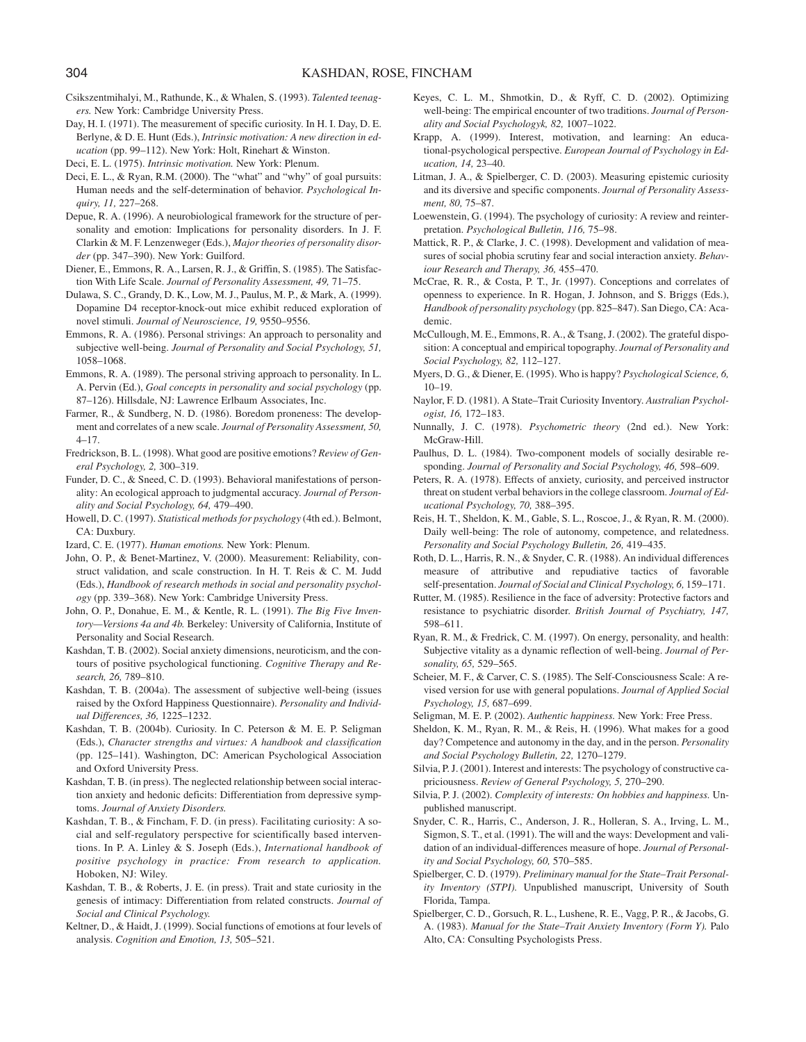- Csikszentmihalyi, M., Rathunde, K., & Whalen, S. (1993). *Talented teenagers.* New York: Cambridge University Press.
- Day, H. I. (1971). The measurement of specific curiosity. In H. I. Day, D. E. Berlyne, & D. E. Hunt (Eds.), *Intrinsic motivation: A new direction in education* (pp. 99–112). New York: Holt, Rinehart & Winston.
- Deci, E. L. (1975). *Intrinsic motivation.* New York: Plenum.
- Deci, E. L., & Ryan, R.M. (2000). The "what" and "why" of goal pursuits: Human needs and the self-determination of behavior. *Psychological Inquiry, 11,* 227–268.
- Depue, R. A. (1996). A neurobiological framework for the structure of personality and emotion: Implications for personality disorders. In J. F. Clarkin & M. F. Lenzenweger (Eds.), *Major theories of personality disorder* (pp. 347–390). New York: Guilford.
- Diener, E., Emmons, R. A., Larsen, R. J., & Griffin, S. (1985). The Satisfaction With Life Scale. *Journal of Personality Assessment, 49,* 71–75.
- Dulawa, S. C., Grandy, D. K., Low, M. J., Paulus, M. P., & Mark, A. (1999). Dopamine D4 receptor-knock-out mice exhibit reduced exploration of novel stimuli. *Journal of Neuroscience, 19,* 9550–9556.
- Emmons, R. A. (1986). Personal strivings: An approach to personality and subjective well-being. *Journal of Personality and Social Psychology, 51,* 1058–1068.
- Emmons, R. A. (1989). The personal striving approach to personality. In L. A. Pervin (Ed.), *Goal concepts in personality and social psychology* (pp. 87–126). Hillsdale, NJ: Lawrence Erlbaum Associates, Inc.
- Farmer, R., & Sundberg, N. D. (1986). Boredom proneness: The development and correlates of a new scale. *Journal of Personality Assessment, 50,* 4–17.
- Fredrickson, B. L. (1998). What good are positive emotions? *Review of General Psychology, 2,* 300–319.
- Funder, D. C., & Sneed, C. D. (1993). Behavioral manifestations of personality: An ecological approach to judgmental accuracy. *Journal of Personality and Social Psychology, 64,* 479–490.
- Howell, D. C. (1997). *Statistical methods for psychology* (4th ed.). Belmont, CA: Duxbury.
- Izard, C. E. (1977). *Human emotions.* New York: Plenum.
- John, O. P., & Benet-Martinez, V. (2000). Measurement: Reliability, construct validation, and scale construction. In H. T. Reis & C. M. Judd (Eds.), *Handbook of research methods in social and personality psychology* (pp. 339–368). New York: Cambridge University Press.
- John, O. P., Donahue, E. M., & Kentle, R. L. (1991). *The Big Five Inventory—Versions 4a and 4b.* Berkeley: University of California, Institute of Personality and Social Research.
- Kashdan, T. B. (2002). Social anxiety dimensions, neuroticism, and the contours of positive psychological functioning. *Cognitive Therapy and Research, 26,* 789–810.
- Kashdan, T. B. (2004a). The assessment of subjective well-being (issues raised by the Oxford Happiness Questionnaire). *Personality and Individual Differences, 36,* 1225–1232.
- Kashdan, T. B. (2004b). Curiosity. In C. Peterson & M. E. P. Seligman (Eds.), *Character strengths and virtues: A handbook and classification* (pp. 125–141). Washington, DC: American Psychological Association and Oxford University Press.
- Kashdan, T. B. (in press). The neglected relationship between social interaction anxiety and hedonic deficits: Differentiation from depressive symptoms. *Journal of Anxiety Disorders.*
- Kashdan, T. B., & Fincham, F. D. (in press). Facilitating curiosity: A social and self-regulatory perspective for scientifically based interventions. In P. A. Linley & S. Joseph (Eds.), *International handbook of positive psychology in practice: From research to application.* Hoboken, NJ: Wiley.
- Kashdan, T. B., & Roberts, J. E. (in press). Trait and state curiosity in the genesis of intimacy: Differentiation from related constructs. *Journal of Social and Clinical Psychology.*
- Keltner, D., & Haidt, J. (1999). Social functions of emotions at four levels of analysis. *Cognition and Emotion, 13,* 505–521.
- Keyes, C. L. M., Shmotkin, D., & Ryff, C. D. (2002). Optimizing well-being: The empirical encounter of two traditions. *Journal of Personality and Social Psychologyk, 82,* 1007–1022.
- Krapp, A. (1999). Interest, motivation, and learning: An educational-psychological perspective. *European Journal of Psychology in Education, 14,* 23–40.
- Litman, J. A., & Spielberger, C. D. (2003). Measuring epistemic curiosity and its diversive and specific components. *Journal of Personality Assessment, 80,* 75–87.
- Loewenstein, G. (1994). The psychology of curiosity: A review and reinterpretation. *Psychological Bulletin, 116,* 75–98.
- Mattick, R. P., & Clarke, J. C. (1998). Development and validation of measures of social phobia scrutiny fear and social interaction anxiety. *Behaviour Research and Therapy, 36,* 455–470.
- McCrae, R. R., & Costa, P. T., Jr. (1997). Conceptions and correlates of openness to experience. In R. Hogan, J. Johnson, and S. Briggs (Eds.), *Handbook of personality psychology* (pp. 825–847). San Diego, CA: Academic.
- McCullough, M. E., Emmons, R. A., & Tsang, J. (2002). The grateful disposition: A conceptual and empirical topography. *Journal of Personality and Social Psychology, 82,* 112–127.
- Myers, D. G., & Diener, E. (1995). Who is happy? *Psychological Science, 6,* 10–19.
- Naylor, F. D. (1981). A State–Trait Curiosity Inventory. *Australian Psychologist, 16,* 172–183.
- Nunnally, J. C. (1978). *Psychometric theory* (2nd ed.). New York: McGraw-Hill.
- Paulhus, D. L. (1984). Two-component models of socially desirable responding. *Journal of Personality and Social Psychology, 46,* 598–609.
- Peters, R. A. (1978). Effects of anxiety, curiosity, and perceived instructor threat on student verbal behaviors in the college classroom. *Journal of Educational Psychology, 70,* 388–395.
- Reis, H. T., Sheldon, K. M., Gable, S. L., Roscoe, J., & Ryan, R. M. (2000). Daily well-being: The role of autonomy, competence, and relatedness. *Personality and Social Psychology Bulletin, 26,* 419–435.
- Roth, D. L., Harris, R. N., & Snyder, C. R. (1988). An individual differences measure of attributive and repudiative tactics of favorable self-presentation. *Journal of Social and Clinical Psychology, 6,* 159–171.
- Rutter, M. (1985). Resilience in the face of adversity: Protective factors and resistance to psychiatric disorder. *British Journal of Psychiatry, 147,* 598–611.
- Ryan, R. M., & Fredrick, C. M. (1997). On energy, personality, and health: Subjective vitality as a dynamic reflection of well-being. *Journal of Personality, 65,* 529–565.
- Scheier, M. F., & Carver, C. S. (1985). The Self-Consciousness Scale: A revised version for use with general populations. *Journal of Applied Social Psychology, 15,* 687–699.
- Seligman, M. E. P. (2002). *Authentic happiness.* New York: Free Press.
- Sheldon, K. M., Ryan, R. M., & Reis, H. (1996). What makes for a good day? Competence and autonomy in the day, and in the person. *Personality and Social Psychology Bulletin, 22,* 1270–1279.
- Silvia, P. J. (2001). Interest and interests: The psychology of constructive capriciousness. *Review of General Psychology, 5,* 270–290.
- Silvia, P. J. (2002). *Complexity of interests: On hobbies and happiness.* Unpublished manuscript.
- Snyder, C. R., Harris, C., Anderson, J. R., Holleran, S. A., Irving, L. M., Sigmon, S. T., et al. (1991). The will and the ways: Development and validation of an individual-differences measure of hope. *Journal of Personality and Social Psychology, 60,* 570–585.
- Spielberger, C. D. (1979). *Preliminary manual for the State–Trait Personality Inventory (STPI).* Unpublished manuscript, University of South Florida, Tampa.
- Spielberger, C. D., Gorsuch, R. L., Lushene, R. E., Vagg, P. R., & Jacobs, G. A. (1983). *Manual for the State–Trait Anxiety Inventory (Form Y).* Palo Alto, CA: Consulting Psychologists Press.